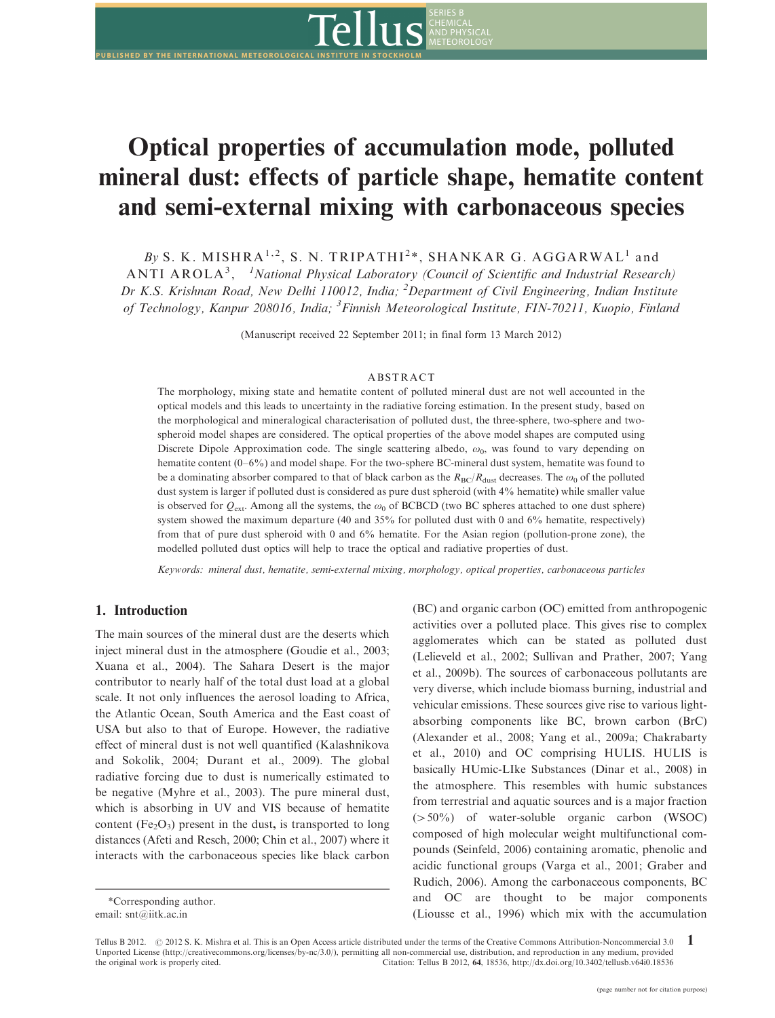

# Optical properties of accumulation mode, polluted mineral dust: effects of particle shape, hematite content and semi-external mixing with carbonaceous species

By S. K. MISHRA<sup>1,2</sup>, S. N. TRIPATHI<sup>2</sup>\*, SHANKAR G. AGGARWAL<sup>1</sup> and ANTI AROLA<sup>3</sup>, <sup>1</sup>National Physical Laboratory (Council of Scientific and Industrial Research) Dr K.S. Krishnan Road, New Delhi 110012, India; <sup>2</sup>Department of Civil Engineering, Indian Institute of Technology, Kanpur 208016, India; <sup>3</sup> Finnish Meteorological Institute, FIN-70211, Kuopio, Finland

(Manuscript received 22 September 2011; in final form 13 March 2012)

#### ABSTRACT

The morphology, mixing state and hematite content of polluted mineral dust are not well accounted in the optical models and this leads to uncertainty in the radiative forcing estimation. In the present study, based on the morphological and mineralogical characterisation of polluted dust, the three-sphere, two-sphere and twospheroid model shapes are considered. The optical properties of the above model shapes are computed using Discrete Dipole Approximation code. The single scattering albedo,  $\omega_0$ , was found to vary depending on hematite content (0–6%) and model shape. For the two-sphere BC-mineral dust system, hematite was found to be a dominating absorber compared to that of black carbon as the  $R_{BC}/R_{dust}$  decreases. The  $\omega_0$  of the polluted dust system is larger if polluted dust is considered as pure dust spheroid (with 4% hematite) while smaller value is observed for  $Q_{ext}$ . Among all the systems, the  $\omega_0$  of BCBCD (two BC spheres attached to one dust sphere) system showed the maximum departure (40 and 35% for polluted dust with 0 and 6% hematite, respectively) from that of pure dust spheroid with 0 and 6% hematite. For the Asian region (pollution-prone zone), the modelled polluted dust optics will help to trace the optical and radiative properties of dust.

Keywords: mineral dust, hematite, semi-external mixing, morphology, optical properties, carbonaceous particles

# 1. Introduction

The main sources of the mineral dust are the deserts which inject mineral dust in the atmosphere (Goudie et al., 2003; Xuana et al., 2004). The Sahara Desert is the major contributor to nearly half of the total dust load at a global scale. It not only influences the aerosol loading to Africa, the Atlantic Ocean, South America and the East coast of USA but also to that of Europe. However, the radiative effect of mineral dust is not well quantified (Kalashnikova and Sokolik, 2004; Durant et al., 2009). The global radiative forcing due to dust is numerically estimated to be negative (Myhre et al., 2003). The pure mineral dust, which is absorbing in UV and VIS because of hematite content ( $Fe<sub>2</sub>O<sub>3</sub>$ ) present in the dust, is transported to long distances (Afeti and Resch, 2000; Chin et al., 2007) where it interacts with the carbonaceous species like black carbon (BC) and organic carbon (OC) emitted from anthropogenic activities over a polluted place. This gives rise to complex agglomerates which can be stated as polluted dust (Lelieveld et al., 2002; Sullivan and Prather, 2007; Yang et al., 2009b). The sources of carbonaceous pollutants are very diverse, which include biomass burning, industrial and vehicular emissions. These sources give rise to various lightabsorbing components like BC, brown carbon (BrC) (Alexander et al., 2008; Yang et al., 2009a; Chakrabarty et al., 2010) and OC comprising HULIS. HULIS is basically HUmic-LIke Substances (Dinar et al., 2008) in the atmosphere. This resembles with humic substances from terrestrial and aquatic sources and is a major fraction  $( > 50\%)$  of water-soluble organic carbon (WSOC) composed of high molecular weight multifunctional compounds (Seinfeld, 2006) containing aromatic, phenolic and acidic functional groups (Varga et al., 2001; Graber and Rudich, 2006). Among the carbonaceous components, BC and OC are thought to be major components (Liousse et al., 1996) which mix with the accumulation

<sup>\*</sup>Corresponding author. email: snt@iitk.ac.in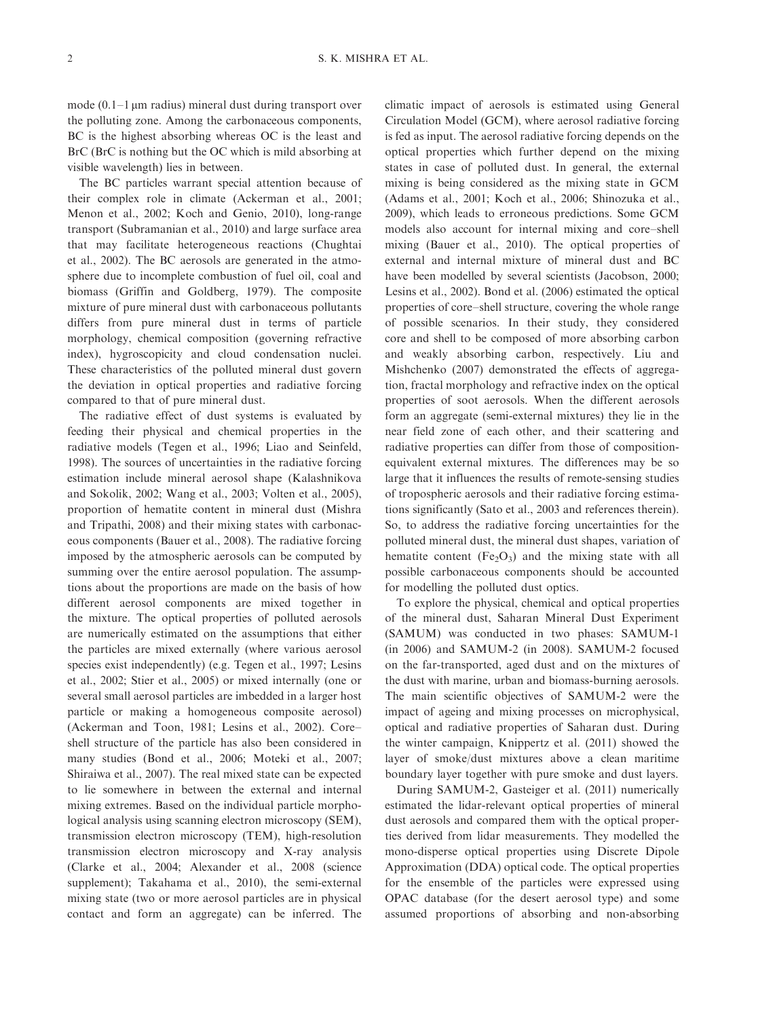mode (0.1-1 mm radius) mineral dust during transport over the polluting zone. Among the carbonaceous components, BC is the highest absorbing whereas OC is the least and BrC (BrC is nothing but the OC which is mild absorbing at visible wavelength) lies in between.

The BC particles warrant special attention because of their complex role in climate (Ackerman et al., 2001; Menon et al., 2002; Koch and Genio, 2010), long-range transport (Subramanian et al., 2010) and large surface area that may facilitate heterogeneous reactions (Chughtai et al., 2002). The BC aerosols are generated in the atmosphere due to incomplete combustion of fuel oil, coal and biomass (Griffin and Goldberg, 1979). The composite mixture of pure mineral dust with carbonaceous pollutants differs from pure mineral dust in terms of particle morphology, chemical composition (governing refractive index), hygroscopicity and cloud condensation nuclei. These characteristics of the polluted mineral dust govern the deviation in optical properties and radiative forcing compared to that of pure mineral dust.

The radiative effect of dust systems is evaluated by feeding their physical and chemical properties in the radiative models (Tegen et al., 1996; Liao and Seinfeld, 1998). The sources of uncertainties in the radiative forcing estimation include mineral aerosol shape (Kalashnikova and Sokolik, 2002; Wang et al., 2003; Volten et al., 2005), proportion of hematite content in mineral dust (Mishra and Tripathi, 2008) and their mixing states with carbonaceous components (Bauer et al., 2008). The radiative forcing imposed by the atmospheric aerosols can be computed by summing over the entire aerosol population. The assumptions about the proportions are made on the basis of how different aerosol components are mixed together in the mixture. The optical properties of polluted aerosols are numerically estimated on the assumptions that either the particles are mixed externally (where various aerosol species exist independently) (e.g. Tegen et al., 1997; Lesins et al., 2002; Stier et al., 2005) or mixed internally (one or several small aerosol particles are imbedded in a larger host particle or making a homogeneous composite aerosol) (Ackerman and Toon, 1981; Lesins et al., 2002). Core shell structure of the particle has also been considered in many studies (Bond et al., 2006; Moteki et al., 2007; Shiraiwa et al., 2007). The real mixed state can be expected to lie somewhere in between the external and internal mixing extremes. Based on the individual particle morphological analysis using scanning electron microscopy (SEM), transmission electron microscopy (TEM), high-resolution transmission electron microscopy and X-ray analysis (Clarke et al., 2004; Alexander et al., 2008 (science supplement); Takahama et al., 2010), the semi-external mixing state (two or more aerosol particles are in physical contact and form an aggregate) can be inferred. The

climatic impact of aerosols is estimated using General Circulation Model (GCM), where aerosol radiative forcing is fed as input. The aerosol radiative forcing depends on the optical properties which further depend on the mixing states in case of polluted dust. In general, the external mixing is being considered as the mixing state in GCM (Adams et al., 2001; Koch et al., 2006; Shinozuka et al., 2009), which leads to erroneous predictions. Some GCM models also account for internal mixing and core-shell mixing (Bauer et al., 2010). The optical properties of external and internal mixture of mineral dust and BC have been modelled by several scientists (Jacobson, 2000; Lesins et al., 2002). Bond et al. (2006) estimated the optical properties of core-shell structure, covering the whole range of possible scenarios. In their study, they considered core and shell to be composed of more absorbing carbon and weakly absorbing carbon, respectively. Liu and Mishchenko (2007) demonstrated the effects of aggregation, fractal morphology and refractive index on the optical properties of soot aerosols. When the different aerosols form an aggregate (semi-external mixtures) they lie in the near field zone of each other, and their scattering and radiative properties can differ from those of compositionequivalent external mixtures. The differences may be so large that it influences the results of remote-sensing studies of tropospheric aerosols and their radiative forcing estimations significantly (Sato et al., 2003 and references therein). So, to address the radiative forcing uncertainties for the polluted mineral dust, the mineral dust shapes, variation of hematite content  $(Fe<sub>2</sub>O<sub>3</sub>)$  and the mixing state with all possible carbonaceous components should be accounted for modelling the polluted dust optics.

To explore the physical, chemical and optical properties of the mineral dust, Saharan Mineral Dust Experiment (SAMUM) was conducted in two phases: SAMUM-1 (in 2006) and SAMUM-2 (in 2008). SAMUM-2 focused on the far-transported, aged dust and on the mixtures of the dust with marine, urban and biomass-burning aerosols. The main scientific objectives of SAMUM-2 were the impact of ageing and mixing processes on microphysical, optical and radiative properties of Saharan dust. During the winter campaign, Knippertz et al. (2011) showed the layer of smoke/dust mixtures above a clean maritime boundary layer together with pure smoke and dust layers.

During SAMUM-2, Gasteiger et al. (2011) numerically estimated the lidar-relevant optical properties of mineral dust aerosols and compared them with the optical properties derived from lidar measurements. They modelled the mono-disperse optical properties using Discrete Dipole Approximation (DDA) optical code. The optical properties for the ensemble of the particles were expressed using OPAC database (for the desert aerosol type) and some assumed proportions of absorbing and non-absorbing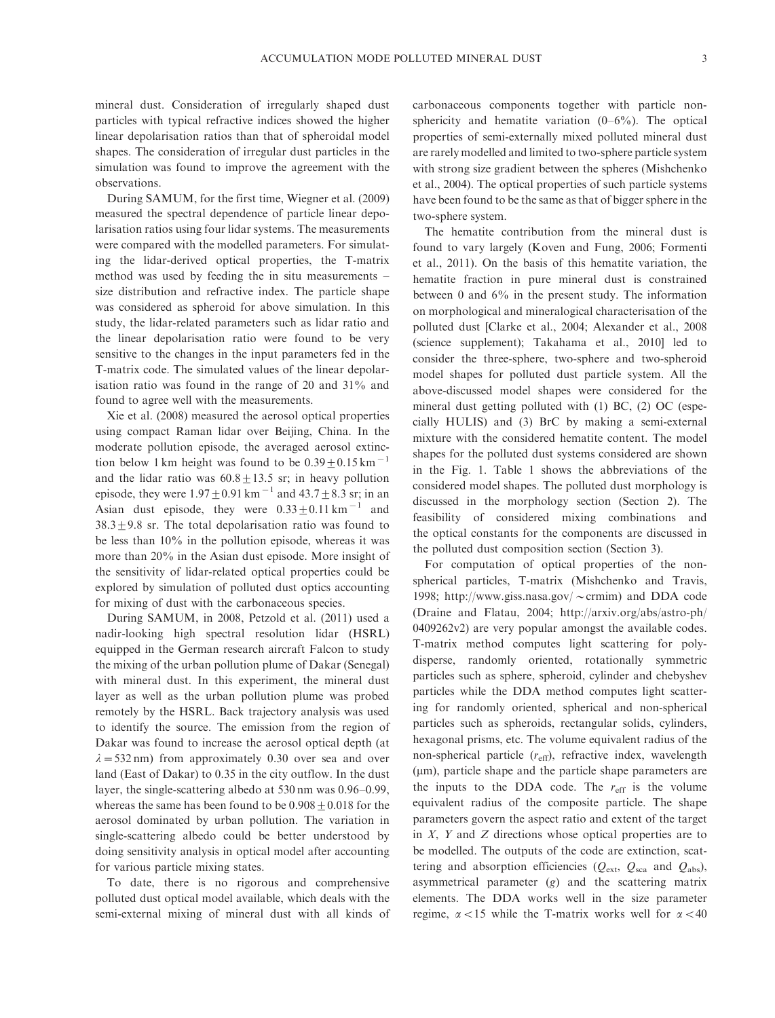mineral dust. Consideration of irregularly shaped dust particles with typical refractive indices showed the higher linear depolarisation ratios than that of spheroidal model shapes. The consideration of irregular dust particles in the simulation was found to improve the agreement with the observations.

During SAMUM, for the first time, Wiegner et al. (2009) measured the spectral dependence of particle linear depolarisation ratios using four lidar systems. The measurements were compared with the modelled parameters. For simulating the lidar-derived optical properties, the T-matrix method was used by feeding the in situ measurements size distribution and refractive index. The particle shape was considered as spheroid for above simulation. In this study, the lidar-related parameters such as lidar ratio and the linear depolarisation ratio were found to be very sensitive to the changes in the input parameters fed in the T-matrix code. The simulated values of the linear depolarisation ratio was found in the range of 20 and 31% and found to agree well with the measurements.

Xie et al. (2008) measured the aerosol optical properties using compact Raman lidar over Beijing, China. In the moderate pollution episode, the averaged aerosol extinction below 1 km height was found to be  $0.39 \pm 0.15$  km<sup>-1</sup> and the lidar ratio was  $60.8 \pm 13.5$  sr; in heavy pollution episode, they were  $1.97 \pm 0.91$  km<sup>-1</sup> and  $43.7 \pm 8.3$  sr; in an Asian dust episode, they were  $0.33 \pm 0.11 \text{ km}^{-1}$  and  $38.3 \pm 9.8$  sr. The total depolarisation ratio was found to be less than 10% in the pollution episode, whereas it was more than 20% in the Asian dust episode. More insight of the sensitivity of lidar-related optical properties could be explored by simulation of polluted dust optics accounting for mixing of dust with the carbonaceous species.

During SAMUM, in 2008, Petzold et al. (2011) used a nadir-looking high spectral resolution lidar (HSRL) equipped in the German research aircraft Falcon to study the mixing of the urban pollution plume of Dakar (Senegal) with mineral dust. In this experiment, the mineral dust layer as well as the urban pollution plume was probed remotely by the HSRL. Back trajectory analysis was used to identify the source. The emission from the region of Dakar was found to increase the aerosol optical depth (at  $\lambda = 532$  nm) from approximately 0.30 over sea and over land (East of Dakar) to 0.35 in the city outflow. In the dust layer, the single-scattering albedo at 530 nm was 0.96-0.99, whereas the same has been found to be  $0.908 \pm 0.018$  for the aerosol dominated by urban pollution. The variation in single-scattering albedo could be better understood by doing sensitivity analysis in optical model after accounting for various particle mixing states.

To date, there is no rigorous and comprehensive polluted dust optical model available, which deals with the semi-external mixing of mineral dust with all kinds of carbonaceous components together with particle nonsphericity and hematite variation (0-6%). The optical properties of semi-externally mixed polluted mineral dust are rarely modelled and limited to two-sphere particle system with strong size gradient between the spheres (Mishchenko et al., 2004). The optical properties of such particle systems have been found to be the same as that of bigger sphere in the two-sphere system.

The hematite contribution from the mineral dust is found to vary largely (Koven and Fung, 2006; Formenti et al., 2011). On the basis of this hematite variation, the hematite fraction in pure mineral dust is constrained between 0 and 6% in the present study. The information on morphological and mineralogical characterisation of the polluted dust [Clarke et al., 2004; Alexander et al., 2008 (science supplement); Takahama et al., 2010] led to consider the three-sphere, two-sphere and two-spheroid model shapes for polluted dust particle system. All the above-discussed model shapes were considered for the mineral dust getting polluted with (1) BC, (2) OC (especially HULIS) and (3) BrC by making a semi-external mixture with the considered hematite content. The model shapes for the polluted dust systems considered are shown in the Fig. 1. Table 1 shows the abbreviations of the considered model shapes. The polluted dust morphology is discussed in the morphology section (Section 2). The feasibility of considered mixing combinations and the optical constants for the components are discussed in the polluted dust composition section (Section 3).

For computation of optical properties of the nonspheri[cal particles, T-matrix \(Mishchen](http://www.giss.nasa.gov/∼crmim)ko and Travis, 1998; http://www.giss.nasa.gov/ $\sim$ [crmim\) and DDA code](http://arxiv.org/abs/astro-ph/0409262v2) [\(Draine an](http://arxiv.org/abs/astro-ph/0409262v2)d Flatau, 2004; http://arxiv.org/abs/astro-ph/ 0409262v2) are very popular amongst the available codes. T-matrix method computes light scattering for polydisperse, randomly oriented, rotationally symmetric particles such as sphere, spheroid, cylinder and chebyshev particles while the DDA method computes light scattering for randomly oriented, spherical and non-spherical particles such as spheroids, rectangular solids, cylinders, hexagonal prisms, etc. The volume equivalent radius of the non-spherical particle  $(r_{\text{eff}})$ , refractive index, wavelength (mm), particle shape and the particle shape parameters are the inputs to the DDA code. The  $r_{\text{eff}}$  is the volume equivalent radius of the composite particle. The shape parameters govern the aspect ratio and extent of the target in  $X$ ,  $Y$  and  $Z$  directions whose optical properties are to be modelled. The outputs of the code are extinction, scattering and absorption efficiencies ( $Q_{\text{ext}}$ ,  $Q_{\text{sea}}$  and  $Q_{\text{abs}}$ ), asymmetrical parameter (g) and the scattering matrix elements. The DDA works well in the size parameter regime,  $\alpha$  < 15 while the T-matrix works well for  $\alpha$  < 40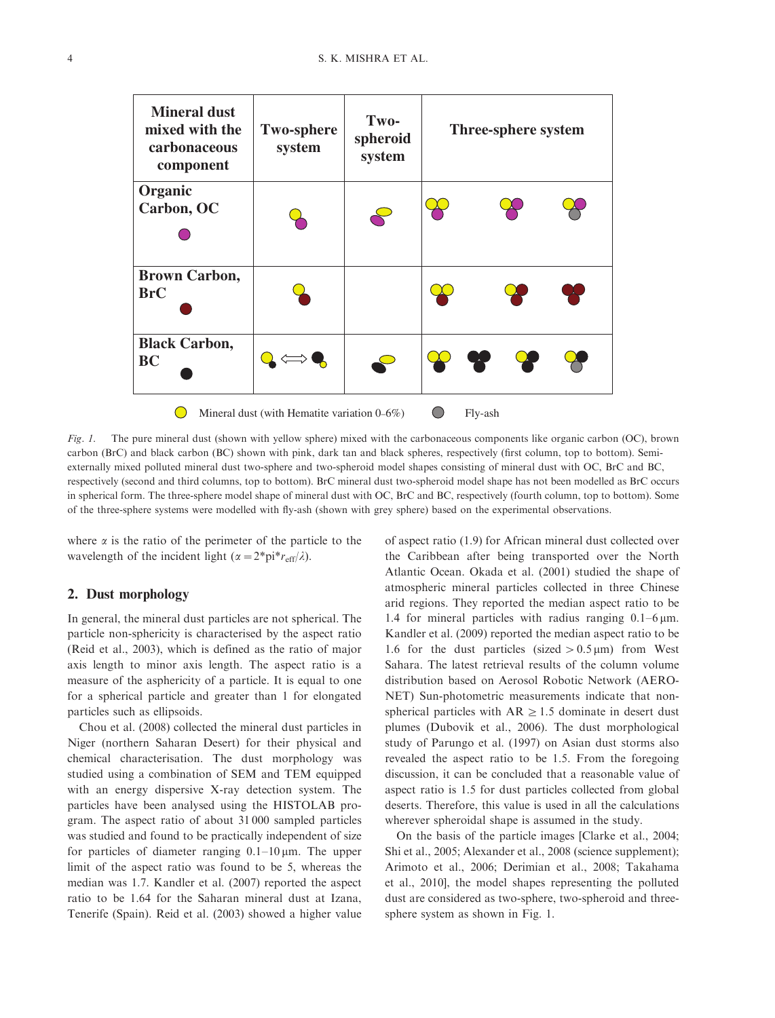

Fig. 1. The pure mineral dust (shown with yellow sphere) mixed with the carbonaceous components like organic carbon (OC), brown carbon (BrC) and black carbon (BC) shown with pink, dark tan and black spheres, respectively (first column, top to bottom). Semiexternally mixed polluted mineral dust two-sphere and two-spheroid model shapes consisting of mineral dust with OC, BrC and BC, respectively (second and third columns, top to bottom). BrC mineral dust two-spheroid model shape has not been modelled as BrC occurs in spherical form. The three-sphere model shape of mineral dust with OC, BrC and BC, respectively (fourth column, top to bottom). Some of the three-sphere systems were modelled with fly-ash (shown with grey sphere) based on the experimental observations.

where  $\alpha$  is the ratio of the perimeter of the particle to the wavelength of the incident light ( $\alpha = 2^*pi^*r_{eff}/\lambda$ ).

## 2. Dust morphology

In general, the mineral dust particles are not spherical. The particle non-sphericity is characterised by the aspect ratio (Reid et al., 2003), which is defined as the ratio of major axis length to minor axis length. The aspect ratio is a measure of the asphericity of a particle. It is equal to one for a spherical particle and greater than 1 for elongated particles such as ellipsoids.

Chou et al. (2008) collected the mineral dust particles in Niger (northern Saharan Desert) for their physical and chemical characterisation. The dust morphology was studied using a combination of SEM and TEM equipped with an energy dispersive X-ray detection system. The particles have been analysed using the HISTOLAB program. The aspect ratio of about 31 000 sampled particles was studied and found to be practically independent of size for particles of diameter ranging  $0.1-10 \,\mu$ m. The upper limit of the aspect ratio was found to be 5, whereas the median was 1.7. Kandler et al. (2007) reported the aspect ratio to be 1.64 for the Saharan mineral dust at Izana, Tenerife (Spain). Reid et al. (2003) showed a higher value of aspect ratio (1.9) for African mineral dust collected over the Caribbean after being transported over the North Atlantic Ocean. Okada et al. (2001) studied the shape of atmospheric mineral particles collected in three Chinese arid regions. They reported the median aspect ratio to be 1.4 for mineral particles with radius ranging  $0.1 - 6 \,\mu m$ . Kandler et al. (2009) reported the median aspect ratio to be 1.6 for the dust particles (sized  $> 0.5 \,\mu$ m) from West Sahara. The latest retrieval results of the column volume distribution based on Aerosol Robotic Network (AERO-NET) Sun-photometric measurements indicate that nonspherical particles with  $AR \ge 1.5$  dominate in desert dust plumes (Dubovik et al., 2006). The dust morphological study of Parungo et al. (1997) on Asian dust storms also revealed the aspect ratio to be 1.5. From the foregoing discussion, it can be concluded that a reasonable value of aspect ratio is 1.5 for dust particles collected from global deserts. Therefore, this value is used in all the calculations wherever spheroidal shape is assumed in the study.

On the basis of the particle images [Clarke et al., 2004; Shi et al., 2005; Alexander et al., 2008 (science supplement); Arimoto et al., 2006; Derimian et al., 2008; Takahama et al., 2010], the model shapes representing the polluted dust are considered as two-sphere, two-spheroid and threesphere system as shown in Fig. 1.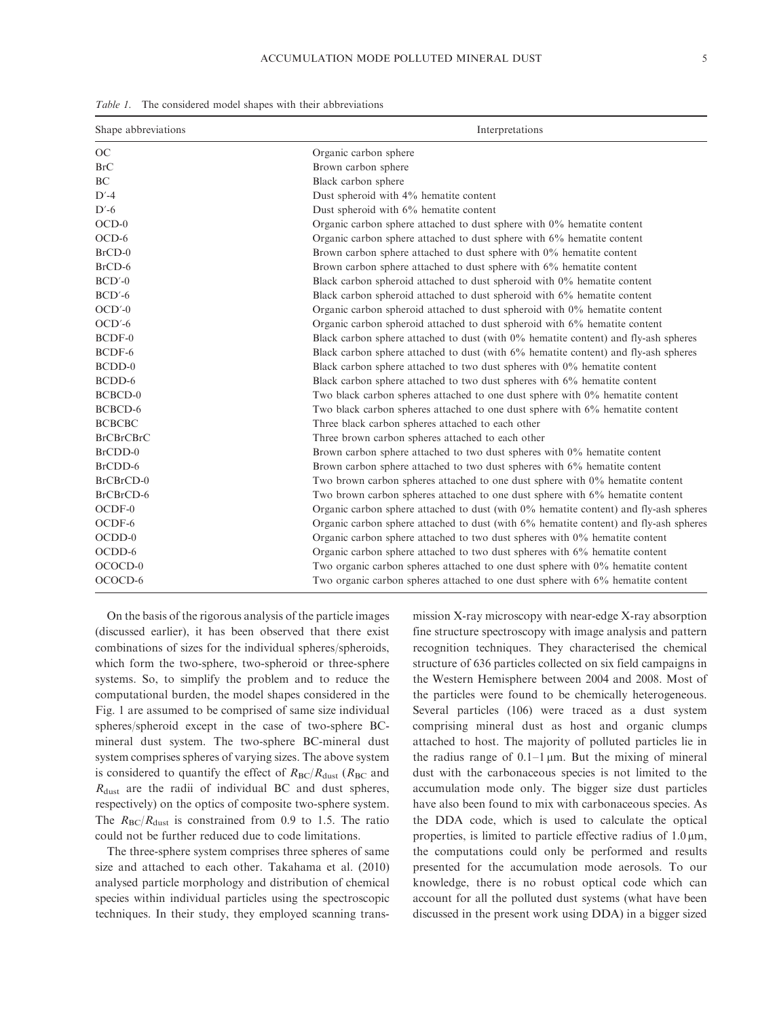| Shape abbreviations | Interpretations                                                                          |  |  |
|---------------------|------------------------------------------------------------------------------------------|--|--|
| OC                  | Organic carbon sphere                                                                    |  |  |
| BrC                 | Brown carbon sphere                                                                      |  |  |
| <b>BC</b>           | Black carbon sphere                                                                      |  |  |
| $D' - 4$            | Dust spheroid with 4% hematite content                                                   |  |  |
| $D'-6$              | Dust spheroid with 6% hematite content                                                   |  |  |
| $OCD-0$             | Organic carbon sphere attached to dust sphere with $0\%$ hematite content                |  |  |
| $OCD-6$             | Organic carbon sphere attached to dust sphere with 6% hematite content                   |  |  |
| $BrCD-0$            | Brown carbon sphere attached to dust sphere with $0\%$ hematite content                  |  |  |
| $BrCD-6$            | Brown carbon sphere attached to dust sphere with 6% hematite content                     |  |  |
| $BCD'-0$            | Black carbon spheroid attached to dust spheroid with $0\%$ hematite content              |  |  |
| $BCD'-6$            | Black carbon spheroid attached to dust spheroid with 6% hematite content                 |  |  |
| $OCD'$ -0           | Organic carbon spheroid attached to dust spheroid with $0\%$ hematite content            |  |  |
| $OCD'$ -6           | Organic carbon spheroid attached to dust spheroid with 6% hematite content               |  |  |
| $BCDF-0$            | Black carbon sphere attached to dust (with 0% hematite content) and fly-ash spheres      |  |  |
| BCDF-6              | Black carbon sphere attached to dust (with 6% hematite content) and fly-ash spheres      |  |  |
| $BCDD-0$            | Black carbon sphere attached to two dust spheres with $0\%$ hematite content             |  |  |
| BCDD-6              | Black carbon sphere attached to two dust spheres with 6% hematite content                |  |  |
| <b>BCBCD-0</b>      | Two black carbon spheres attached to one dust sphere with $0\%$ hematite content         |  |  |
| BCBCD-6             | Two black carbon spheres attached to one dust sphere with 6% hematite content            |  |  |
| <b>BCBCBC</b>       | Three black carbon spheres attached to each other                                        |  |  |
| <b>BrCBrCBrC</b>    | Three brown carbon spheres attached to each other                                        |  |  |
| BrCDD-0             | Brown carbon sphere attached to two dust spheres with $0\%$ hematite content             |  |  |
| BrCDD-6             | Brown carbon sphere attached to two dust spheres with 6% hematite content                |  |  |
| BrCBrCD-0           | Two brown carbon spheres attached to one dust sphere with 0% hematite content            |  |  |
| BrCBrCD-6           | Two brown carbon spheres attached to one dust sphere with 6% hematite content            |  |  |
| $OCDF-0$            | Organic carbon sphere attached to dust (with $0\%$ hematite content) and fly-ash spheres |  |  |
| OCDF-6              | Organic carbon sphere attached to dust (with 6% hematite content) and fly-ash spheres    |  |  |
| $OCDD-0$            | Organic carbon sphere attached to two dust spheres with $0\%$ hematite content           |  |  |
| OCDD-6              | Organic carbon sphere attached to two dust spheres with 6% hematite content              |  |  |
| OCOCD-0             | Two organic carbon spheres attached to one dust sphere with $0\%$ hematite content       |  |  |
| OCOCD-6             | Two organic carbon spheres attached to one dust sphere with 6% hematite content          |  |  |

Table 1. The considered model shapes with their abbreviations

On the basis of the rigorous analysis of the particle images (discussed earlier), it has been observed that there exist combinations of sizes for the individual spheres/spheroids, which form the two-sphere, two-spheroid or three-sphere systems. So, to simplify the problem and to reduce the computational burden, the model shapes considered in the Fig. 1 are assumed to be comprised of same size individual spheres/spheroid except in the case of two-sphere BCmineral dust system. The two-sphere BC-mineral dust system comprises spheres of varying sizes. The above system is considered to quantify the effect of  $R_{BC}/R_{dust}$  ( $R_{BC}$  and  $R_{\text{dust}}$  are the radii of individual BC and dust spheres, respectively) on the optics of composite two-sphere system. The  $R_{BC}/R_{dust}$  is constrained from 0.9 to 1.5. The ratio could not be further reduced due to code limitations.

The three-sphere system comprises three spheres of same size and attached to each other. Takahama et al. (2010) analysed particle morphology and distribution of chemical species within individual particles using the spectroscopic techniques. In their study, they employed scanning transmission X-ray microscopy with near-edge X-ray absorption fine structure spectroscopy with image analysis and pattern recognition techniques. They characterised the chemical structure of 636 particles collected on six field campaigns in the Western Hemisphere between 2004 and 2008. Most of the particles were found to be chemically heterogeneous. Several particles (106) were traced as a dust system comprising mineral dust as host and organic clumps attached to host. The majority of polluted particles lie in the radius range of  $0.1-1 \mu m$ . But the mixing of mineral dust with the carbonaceous species is not limited to the accumulation mode only. The bigger size dust particles have also been found to mix with carbonaceous species. As the DDA code, which is used to calculate the optical properties, is limited to particle effective radius of  $1.0 \,\mu m$ , the computations could only be performed and results presented for the accumulation mode aerosols. To our knowledge, there is no robust optical code which can account for all the polluted dust systems (what have been discussed in the present work using DDA) in a bigger sized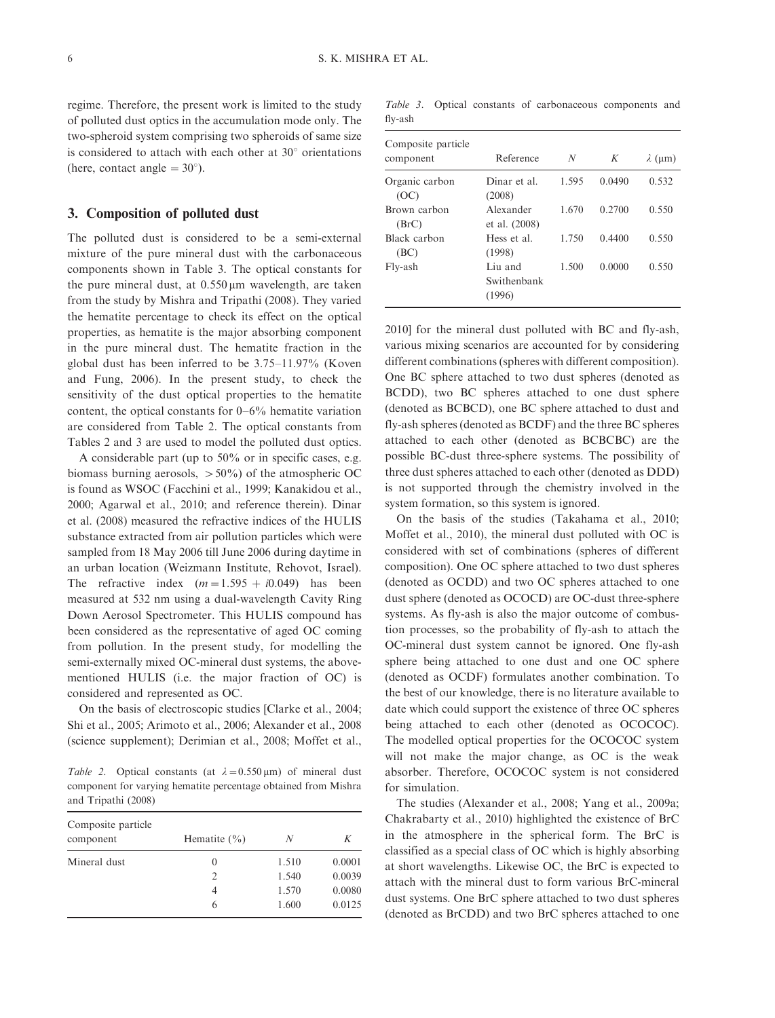regime. Therefore, the present work is limited to the study of polluted dust optics in the accumulation mode only. The two-spheroid system comprising two spheroids of same size is considered to attach with each other at  $30^{\circ}$  orientations (here, contact angle  $= 30^{\circ}$ ).

## 3. Composition of polluted dust

The polluted dust is considered to be a semi-external mixture of the pure mineral dust with the carbonaceous components shown in Table 3. The optical constants for the pure mineral dust, at  $0.550 \,\mu m$  wavelength, are taken from the study by Mishra and Tripathi (2008). They varied the hematite percentage to check its effect on the optical properties, as hematite is the major absorbing component in the pure mineral dust. The hematite fraction in the global dust has been inferred to be 3.75-11.97% (Koven and Fung, 2006). In the present study, to check the sensitivity of the dust optical properties to the hematite content, the optical constants for 0-6% hematite variation are considered from Table 2. The optical constants from Tables 2 and 3 are used to model the polluted dust optics.

A considerable part (up to 50% or in specific cases, e.g. biomass burning aerosols,  $> 50\%$ ) of the atmospheric OC is found as WSOC (Facchini et al., 1999; Kanakidou et al., 2000; Agarwal et al., 2010; and reference therein). Dinar et al. (2008) measured the refractive indices of the HULIS substance extracted from air pollution particles which were sampled from 18 May 2006 till June 2006 during daytime in an urban location (Weizmann Institute, Rehovot, Israel). The refractive index  $(m=1.595 + i0.049)$  has been measured at 532 nm using a dual-wavelength Cavity Ring Down Aerosol Spectrometer. This HULIS compound has been considered as the representative of aged OC coming from pollution. In the present study, for modelling the semi-externally mixed OC-mineral dust systems, the abovementioned HULIS (i.e. the major fraction of OC) is considered and represented as OC.

On the basis of electroscopic studies [Clarke et al., 2004; Shi et al., 2005; Arimoto et al., 2006; Alexander et al., 2008 (science supplement); Derimian et al., 2008; Moffet et al.,

Table 2. Optical constants (at  $\lambda = 0.550 \,\mu\text{m}$ ) of mineral dust component for varying hematite percentage obtained from Mishra and Tripathi (2008)

| Composite particle<br>component | Hematite $(\% )$ | N     | K      |
|---------------------------------|------------------|-------|--------|
| Mineral dust                    | $\theta$         | 1.510 | 0.0001 |
|                                 | $\mathfrak{D}$   | 1.540 | 0.0039 |
|                                 | 4                | 1.570 | 0.0080 |
|                                 | 6                | 1.600 | 0.0125 |

Table 3. Optical constants of carbonaceous components and fly-ash

| Composite particle<br>component | Reference                        | N     | K      | $\lambda$ (µm) |  |
|---------------------------------|----------------------------------|-------|--------|----------------|--|
| Organic carbon<br>(OC)          | Dinar et al.<br>(2008)           | 1.595 | 0.0490 | 0.532          |  |
| Brown carbon<br>(BrC)           | Alexander<br>et al. (2008)       | 1.670 | 0.2700 | 0.550          |  |
| Black carbon<br>(BC)            | Hess et al.<br>(1998)            | 1.750 | 0.4400 | 0.550          |  |
| Fly-ash                         | Liu and<br>Swithenbank<br>(1996) | 1.500 | 0.0000 | 0.550          |  |

2010] for the mineral dust polluted with BC and fly-ash, various mixing scenarios are accounted for by considering different combinations (spheres with different composition). One BC sphere attached to two dust spheres (denoted as BCDD), two BC spheres attached to one dust sphere (denoted as BCBCD), one BC sphere attached to dust and fly-ash spheres (denoted as BCDF) and the three BC spheres attached to each other (denoted as BCBCBC) are the possible BC-dust three-sphere systems. The possibility of three dust spheres attached to each other (denoted as DDD) is not supported through the chemistry involved in the system formation, so this system is ignored.

On the basis of the studies (Takahama et al., 2010; Moffet et al., 2010), the mineral dust polluted with OC is considered with set of combinations (spheres of different composition). One OC sphere attached to two dust spheres (denoted as OCDD) and two OC spheres attached to one dust sphere (denoted as OCOCD) are OC-dust three-sphere systems. As fly-ash is also the major outcome of combustion processes, so the probability of fly-ash to attach the OC-mineral dust system cannot be ignored. One fly-ash sphere being attached to one dust and one OC sphere (denoted as OCDF) formulates another combination. To the best of our knowledge, there is no literature available to date which could support the existence of three OC spheres being attached to each other (denoted as OCOCOC). The modelled optical properties for the OCOCOC system will not make the major change, as OC is the weak absorber. Therefore, OCOCOC system is not considered for simulation.

The studies (Alexander et al., 2008; Yang et al., 2009a; Chakrabarty et al., 2010) highlighted the existence of BrC in the atmosphere in the spherical form. The BrC is classified as a special class of OC which is highly absorbing at short wavelengths. Likewise OC, the BrC is expected to attach with the mineral dust to form various BrC-mineral dust systems. One BrC sphere attached to two dust spheres (denoted as BrCDD) and two BrC spheres attached to one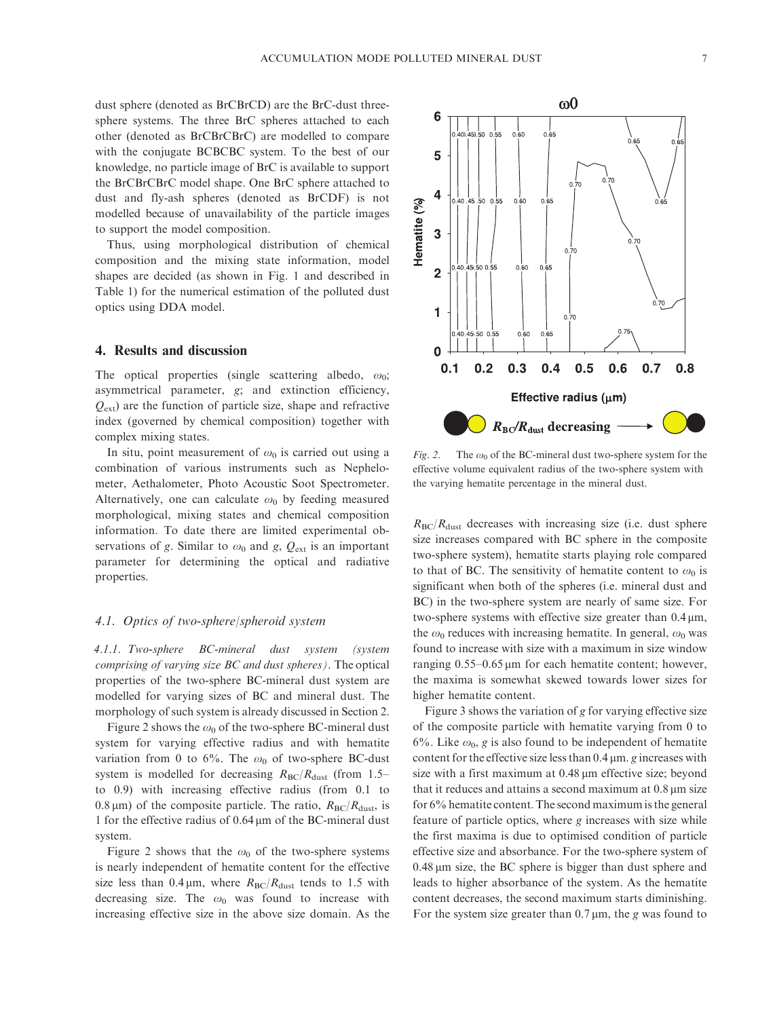dust sphere (denoted as BrCBrCD) are the BrC-dust threesphere systems. The three BrC spheres attached to each other (denoted as BrCBrCBrC) are modelled to compare with the conjugate BCBCBC system. To the best of our knowledge, no particle image of BrC is available to support the BrCBrCBrC model shape. One BrC sphere attached to dust and fly-ash spheres (denoted as BrCDF) is not modelled because of unavailability of the particle images to support the model composition.

Thus, using morphological distribution of chemical composition and the mixing state information, model shapes are decided (as shown in Fig. 1 and described in Table 1) for the numerical estimation of the polluted dust optics using DDA model.

## 4. Results and discussion

The optical properties (single scattering albedo,  $\omega_0$ ; asymmetrical parameter, g; and extinction efficiency,  $Q_{\text{ext}}$ ) are the function of particle size, shape and refractive index (governed by chemical composition) together with complex mixing states.

In situ, point measurement of  $\omega_0$  is carried out using a combination of various instruments such as Nephelometer, Aethalometer, Photo Acoustic Soot Spectrometer. Alternatively, one can calculate  $\omega_0$  by feeding measured morphological, mixing states and chemical composition information. To date there are limited experimental observations of g. Similar to  $\omega_0$  and g,  $Q_{ext}$  is an important parameter for determining the optical and radiative properties.

# 4.1. Optics of two-sphere/spheroid system

4.1.1. Two-sphere BC-mineral dust system (system comprising of varying size BC and dust spheres). The optical properties of the two-sphere BC-mineral dust system are modelled for varying sizes of BC and mineral dust. The morphology of such system is already discussed in Section 2.

Figure 2 shows the  $\omega_0$  of the two-sphere BC-mineral dust system for varying effective radius and with hematite variation from 0 to 6%. The  $\omega_0$  of two-sphere BC-dust system is modelled for decreasing  $R_{\text{BC}}/R_{\text{dust}}$  (from 1.5– to 0.9) with increasing effective radius (from 0.1 to 0.8  $\mu$ m) of the composite particle. The ratio,  $R_{BC}/R_{dust}$ , is 1 for the effective radius of  $0.64 \,\mu m$  of the BC-mineral dust system.

Figure 2 shows that the  $\omega_0$  of the two-sphere systems is nearly independent of hematite content for the effective size less than 0.4  $\mu$ m, where  $R_{BC}/R_{dust}$  tends to 1.5 with decreasing size. The  $\omega_0$  was found to increase with increasing effective size in the above size domain. As the



Fig. 2. The  $\omega_0$  of the BC-mineral dust two-sphere system for the effective volume equivalent radius of the two-sphere system with the varying hematite percentage in the mineral dust.

 $R_{\rm BC}/R_{\rm dust}$  decreases with increasing size (i.e. dust sphere size increases compared with BC sphere in the composite two-sphere system), hematite starts playing role compared to that of BC. The sensitivity of hematite content to  $\omega_0$  is significant when both of the spheres (i.e. mineral dust and BC) in the two-sphere system are nearly of same size. For two-sphere systems with effective size greater than  $0.4 \mu m$ , the  $\omega_0$  reduces with increasing hematite. In general,  $\omega_0$  was found to increase with size with a maximum in size window ranging  $0.55-0.65 \,\mu m$  for each hematite content; however, the maxima is somewhat skewed towards lower sizes for higher hematite content.

Figure 3 shows the variation of g for varying effective size of the composite particle with hematite varying from 0 to 6%. Like  $\omega_0$ , g is also found to be independent of hematite content for the effective size less than  $0.4 \mu m$ . g increases with size with a first maximum at 0.48  $\mu$ m effective size; beyond that it reduces and attains a second maximum at  $0.8 \mu m$  size for 6% hematite content. The second maximum is the general feature of particle optics, where g increases with size while the first maxima is due to optimised condition of particle effective size and absorbance. For the two-sphere system of  $0.48 \mu m$  size, the BC sphere is bigger than dust sphere and leads to higher absorbance of the system. As the hematite content decreases, the second maximum starts diminishing. For the system size greater than  $0.7 \mu m$ , the g was found to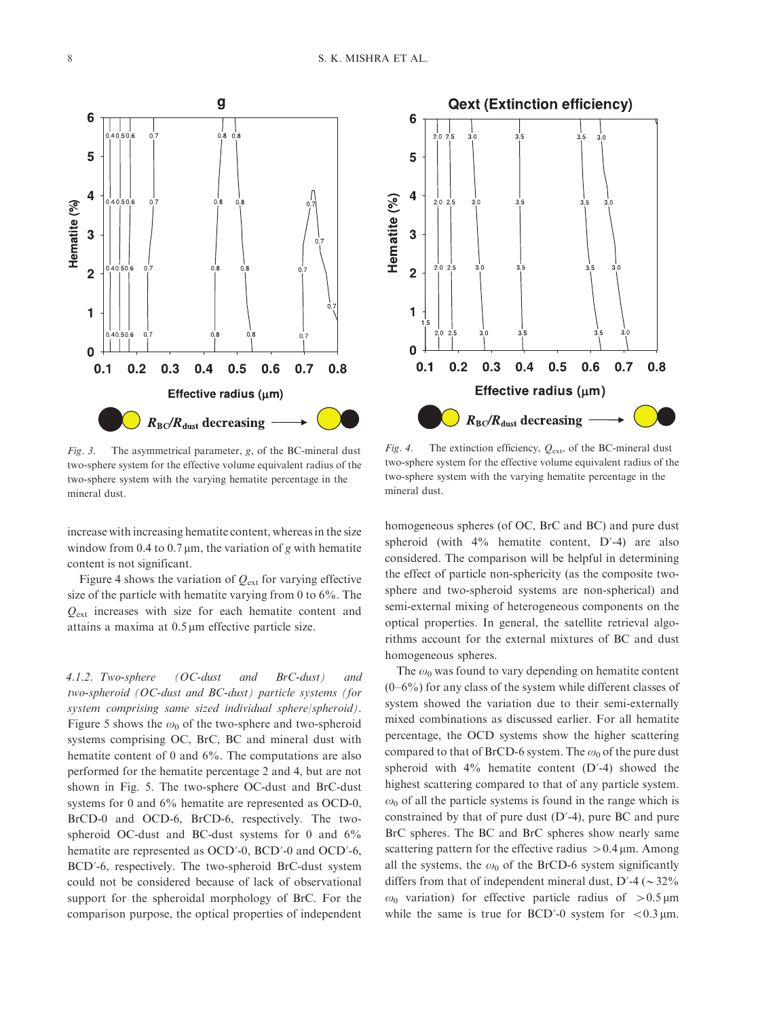

Fig. 3. The asymmetrical parameter, g, of the BC-mineral dust two-sphere system for the effective volume equivalent radius of the two-sphere system with the varying hematite percentage in the mineral dust.

increase with increasing hematite content, whereas in the size window from 0.4 to 0.7  $\mu$ m, the variation of g with hematite content is not significant.

Figure 4 shows the variation of  $Q_{\text{ext}}$  for varying effective size of the particle with hematite varying from 0 to 6%. The  $Q_{\text{ext}}$  increases with size for each hematite content and attains a maxima at 0.5 µm effective particle size.

4.1.2. Two-sphere (OC-dust and BrC-dust) and two-spheroid (OC-dust and BC-dust) particle systems (for system comprising same sized individual sphere/spheroid). Figure 5 shows the  $\omega_0$  of the two-sphere and two-spheroid systems comprising OC, BrC, BC and mineral dust with hematite content of 0 and 6%. The computations are also performed for the hematite percentage 2 and 4, but are not shown in Fig. 5. The two-sphere OC-dust and BrC-dust systems for 0 and 6% hematite are represented as OCD-0, BrCD-0 and OCD-6, BrCD-6, respectively. The twospheroid OC-dust and BC-dust systems for 0 and 6% hematite are represented as OCD'-0, BCD'-0 and OCD'-6, BCD?-6, respectively. The two-spheroid BrC-dust system could not be considered because of lack of observational support for the spheroidal morphology of BrC. For the comparison purpose, the optical properties of independent

Fig. 4. The extinction efficiency,  $Q_{ext}$ , of the BC-mineral dust two-sphere system for the effective volume equivalent radius of the two-sphere system with the varying hematite percentage in the mineral dust.

homogeneous spheres (of OC, BrC and BC) and pure dust spheroid (with  $4\%$  hematite content,  $D'$ -4) are also considered. The comparison will be helpful in determining the effect of particle non-sphericity (as the composite twosphere and two-spheroid systems are non-spherical) and semi-external mixing of heterogeneous components on the optical properties. In general, the satellite retrieval algorithms account for the external mixtures of BC and dust homogeneous spheres.

The  $\omega_0$  was found to vary depending on hematite content  $(0-6\%)$  for any class of the system while different classes of system showed the variation due to their semi-externally mixed combinations as discussed earlier. For all hematite percentage, the OCD systems show the higher scattering compared to that of BrCD-6 system. The  $\omega_0$  of the pure dust spheroid with  $4\%$  hematite content (D'-4) showed the highest scattering compared to that of any particle system.  $\omega_0$  of all the particle systems is found in the range which is constrained by that of pure dust  $(D'-4)$ , pure BC and pure BrC spheres. The BC and BrC spheres show nearly same scattering pattern for the effective radius  $> 0.4 \,\mu$ m. Among all the systems, the  $\omega_0$  of the BrCD-6 system significantly differs from that of independent mineral dust,  $D'$ -4 ( $\sim$  32%  $ω_0$  variation) for effective particle radius of > 0.5 μm while the same is true for BCD'-0 system for  $< 0.3 \mu$ m.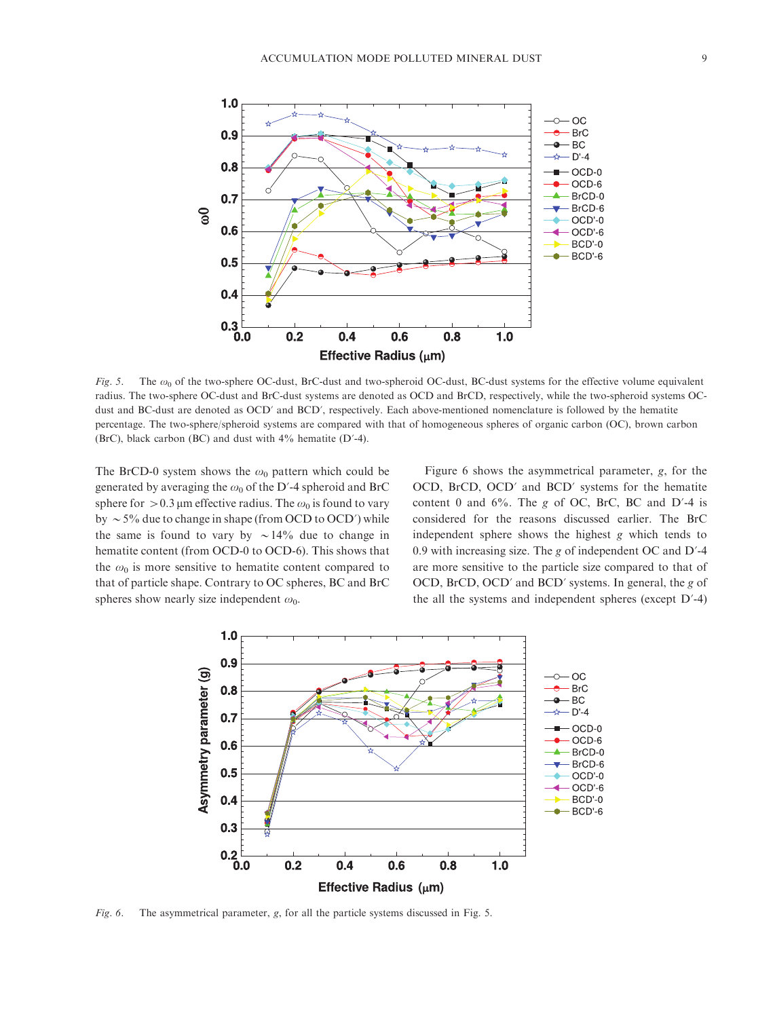

Fig. 5. The  $\omega_0$  of the two-sphere OC-dust, BrC-dust and two-spheroid OC-dust, BC-dust systems for the effective volume equivalent radius. The two-sphere OC-dust and BrC-dust systems are denoted as OCD and BrCD, respectively, while the two-spheroid systems OCdust and BC-dust are denoted as OCD' and BCD', respectively. Each above-mentioned nomenclature is followed by the hematite percentage. The two-sphere/spheroid systems are compared with that of homogeneous spheres of organic carbon (OC), brown carbon (BrC), black carbon (BC) and dust with  $4\%$  hematite (D'-4).

The BrCD-0 system shows the  $\omega_0$  pattern which could be generated by averaging the  $\omega_0$  of the D'-4 spheroid and BrC sphere for  $>$  0.3 µm effective radius. The  $\omega_0$  is found to vary by  $\sim$  5% due to change in shape (from OCD to OCD') while the same is found to vary by  $\sim 14\%$  due to change in hematite content (from OCD-0 to OCD-6). This shows that the  $\omega_0$  is more sensitive to hematite content compared to that of particle shape. Contrary to OC spheres, BC and BrC spheres show nearly size independent  $\omega_0$ .

Figure 6 shows the asymmetrical parameter, g, for the OCD, BrCD, OCD? and BCD? systems for the hematite content 0 and  $6\%$ . The g of OC, BrC, BC and D'-4 is considered for the reasons discussed earlier. The BrC independent sphere shows the highest g which tends to 0.9 with increasing size. The  $g$  of independent OC and D'-4 are more sensitive to the particle size compared to that of OCD, BrCD, OCD? and BCD? systems. In general, the g of the all the systems and independent spheres (except  $D'$ -4)



Fig. 6. The asymmetrical parameter, g, for all the particle systems discussed in Fig. 5.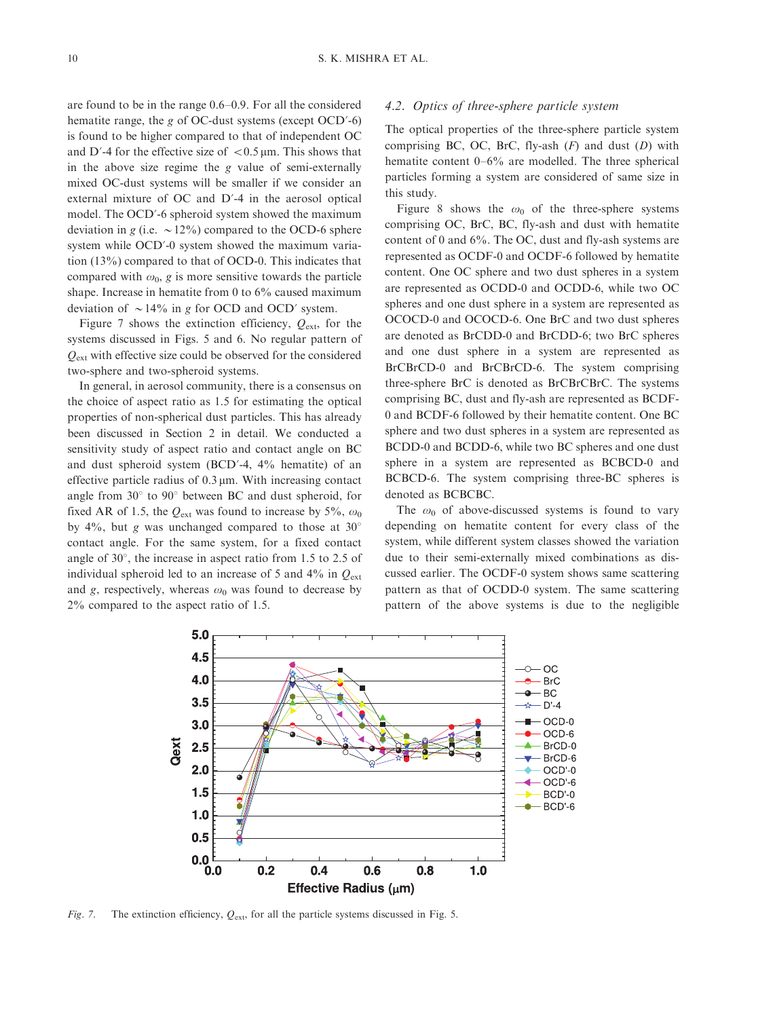are found to be in the range 0.6-0.9. For all the considered hematite range, the g of OC-dust systems (except  $OCD'$ -6) is found to be higher compared to that of independent OC and D'-4 for the effective size of  $< 0.5 \,\mu$ m. This shows that in the above size regime the g value of semi-externally mixed OC-dust systems will be smaller if we consider an external mixture of OC and D'-4 in the aerosol optical model. The OCD?-6 spheroid system showed the maximum deviation in g (i.e.  $\sim$  12%) compared to the OCD-6 sphere system while OCD?-0 system showed the maximum variation (13%) compared to that of OCD-0. This indicates that compared with  $\omega_0$ , g is more sensitive towards the particle shape. Increase in hematite from 0 to 6% caused maximum deviation of  $\sim 14\%$  in g for OCD and OCD' system.

Figure 7 shows the extinction efficiency,  $Q_{\text{ext}}$ , for the systems discussed in Figs. 5 and 6. No regular pattern of  $Q_{\text{ext}}$  with effective size could be observed for the considered two-sphere and two-spheroid systems.

In general, in aerosol community, there is a consensus on the choice of aspect ratio as 1.5 for estimating the optical properties of non-spherical dust particles. This has already been discussed in Section 2 in detail. We conducted a sensitivity study of aspect ratio and contact angle on BC and dust spheroid system (BCD?-4, 4% hematite) of an effective particle radius of  $0.3 \mu$ m. With increasing contact angle from  $30^{\circ}$  to  $90^{\circ}$  between BC and dust spheroid, for fixed AR of 1.5, the  $Q_{ext}$  was found to increase by 5%,  $\omega_0$ by 4%, but g was unchanged compared to those at  $30^{\circ}$ contact angle. For the same system, for a fixed contact angle of  $30^{\circ}$ , the increase in aspect ratio from 1.5 to 2.5 of individual spheroid led to an increase of 5 and  $4\%$  in  $Q_{ext}$ and g, respectively, whereas  $\omega_0$  was found to decrease by 2% compared to the aspect ratio of 1.5.

#### 4.2. Optics of three-sphere particle system

The optical properties of the three-sphere particle system comprising BC, OC, BrC, fly-ash  $(F)$  and dust  $(D)$  with hematite content 0-6% are modelled. The three spherical particles forming a system are considered of same size in this study.

Figure 8 shows the  $\omega_0$  of the three-sphere systems comprising OC, BrC, BC, fly-ash and dust with hematite content of 0 and 6%. The OC, dust and fly-ash systems are represented as OCDF-0 and OCDF-6 followed by hematite content. One OC sphere and two dust spheres in a system are represented as OCDD-0 and OCDD-6, while two OC spheres and one dust sphere in a system are represented as OCOCD-0 and OCOCD-6. One BrC and two dust spheres are denoted as BrCDD-0 and BrCDD-6; two BrC spheres and one dust sphere in a system are represented as BrCBrCD-0 and BrCBrCD-6. The system comprising three-sphere BrC is denoted as BrCBrCBrC. The systems comprising BC, dust and fly-ash are represented as BCDF-0 and BCDF-6 followed by their hematite content. One BC sphere and two dust spheres in a system are represented as BCDD-0 and BCDD-6, while two BC spheres and one dust sphere in a system are represented as BCBCD-0 and BCBCD-6. The system comprising three-BC spheres is denoted as BCBCBC.

The  $\omega_0$  of above-discussed systems is found to vary depending on hematite content for every class of the system, while different system classes showed the variation due to their semi-externally mixed combinations as discussed earlier. The OCDF-0 system shows same scattering pattern as that of OCDD-0 system. The same scattering pattern of the above systems is due to the negligible



Fig. 7. The extinction efficiency,  $Q_{ext}$ , for all the particle systems discussed in Fig. 5.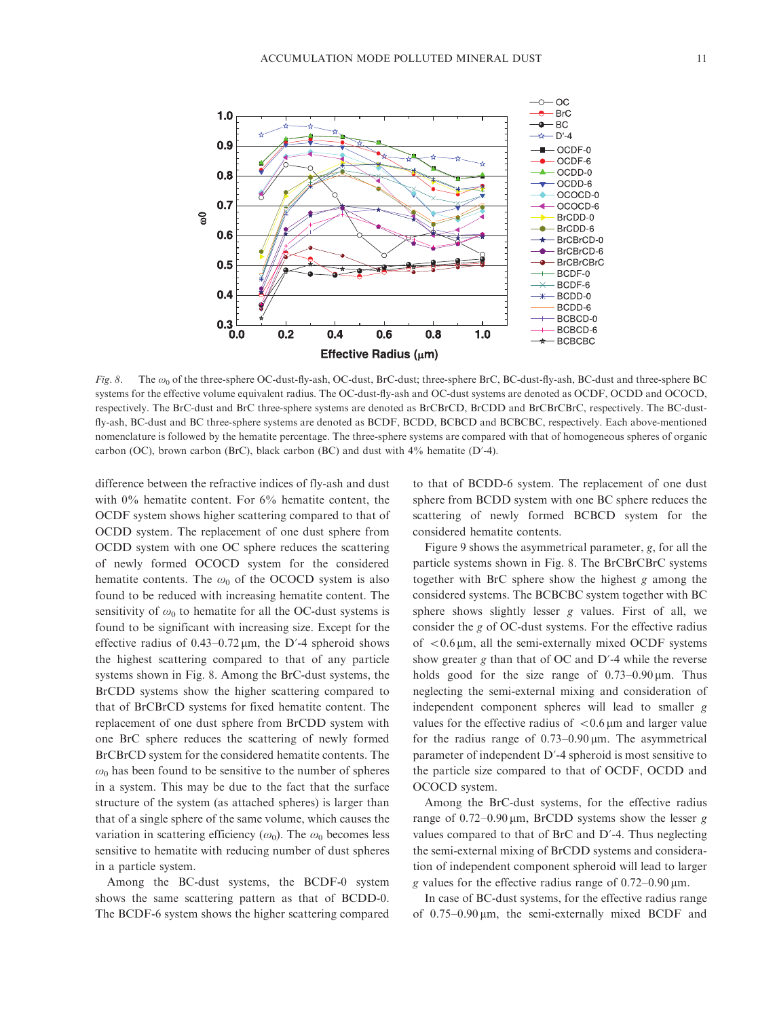

Fig. 8. The  $\omega_0$  of the three-sphere OC-dust-fly-ash, OC-dust, BrC-dust; three-sphere BrC, BC-dust-fly-ash, BC-dust and three-sphere BC systems for the effective volume equivalent radius. The OC-dust-fly-ash and OC-dust systems are denoted as OCDF, OCDD and OCOCD, respectively. The BrC-dust and BrC three-sphere systems are denoted as BrCBrCD, BrCDD and BrCBrCBrC, respectively. The BC-dustfly-ash, BC-dust and BC three-sphere systems are denoted as BCDF, BCDD, BCBCD and BCBCBC, respectively. Each above-mentioned nomenclature is followed by the hematite percentage. The three-sphere systems are compared with that of homogeneous spheres of organic carbon (OC), brown carbon (BrC), black carbon (BC) and dust with  $4\%$  hematite (D'-4).

difference between the refractive indices of fly-ash and dust with 0% hematite content. For 6% hematite content, the OCDF system shows higher scattering compared to that of OCDD system. The replacement of one dust sphere from OCDD system with one OC sphere reduces the scattering of newly formed OCOCD system for the considered hematite contents. The  $\omega_0$  of the OCOCD system is also found to be reduced with increasing hematite content. The sensitivity of  $\omega_0$  to hematite for all the OC-dust systems is found to be significant with increasing size. Except for the effective radius of  $0.43 - 0.72 \,\mu m$ , the D'-4 spheroid shows the highest scattering compared to that of any particle systems shown in Fig. 8. Among the BrC-dust systems, the BrCDD systems show the higher scattering compared to that of BrCBrCD systems for fixed hematite content. The replacement of one dust sphere from BrCDD system with one BrC sphere reduces the scattering of newly formed BrCBrCD system for the considered hematite contents. The  $\omega_0$  has been found to be sensitive to the number of spheres in a system. This may be due to the fact that the surface structure of the system (as attached spheres) is larger than that of a single sphere of the same volume, which causes the variation in scattering efficiency ( $\omega_0$ ). The  $\omega_0$  becomes less sensitive to hematite with reducing number of dust spheres in a particle system.

Among the BC-dust systems, the BCDF-0 system shows the same scattering pattern as that of BCDD-0. The BCDF-6 system shows the higher scattering compared to that of BCDD-6 system. The replacement of one dust sphere from BCDD system with one BC sphere reduces the scattering of newly formed BCBCD system for the considered hematite contents.

Figure 9 shows the asymmetrical parameter, g, for all the particle systems shown in Fig. 8. The BrCBrCBrC systems together with BrC sphere show the highest g among the considered systems. The BCBCBC system together with BC sphere shows slightly lesser g values. First of all, we consider the g of OC-dust systems. For the effective radius of  $< 0.6 \mu m$ , all the semi-externally mixed OCDF systems show greater  $g$  than that of OC and  $D'$ -4 while the reverse holds good for the size range of  $0.73-0.90 \,\mu$ m. Thus neglecting the semi-external mixing and consideration of independent component spheres will lead to smaller g values for the effective radius of  $< 0.6$  µm and larger value for the radius range of  $0.73-0.90 \,\mu$ m. The asymmetrical parameter of independent D'-4 spheroid is most sensitive to the particle size compared to that of OCDF, OCDD and OCOCD system.

Among the BrC-dust systems, for the effective radius range of  $0.72-0.90 \,\mu$ m, BrCDD systems show the lesser g values compared to that of BrC and D?-4. Thus neglecting the semi-external mixing of BrCDD systems and consideration of independent component spheroid will lead to larger g values for the effective radius range of  $0.72-0.90 \,\mu$ m.

In case of BC-dust systems, for the effective radius range of  $0.75-0.90 \,\mu$ m, the semi-externally mixed BCDF and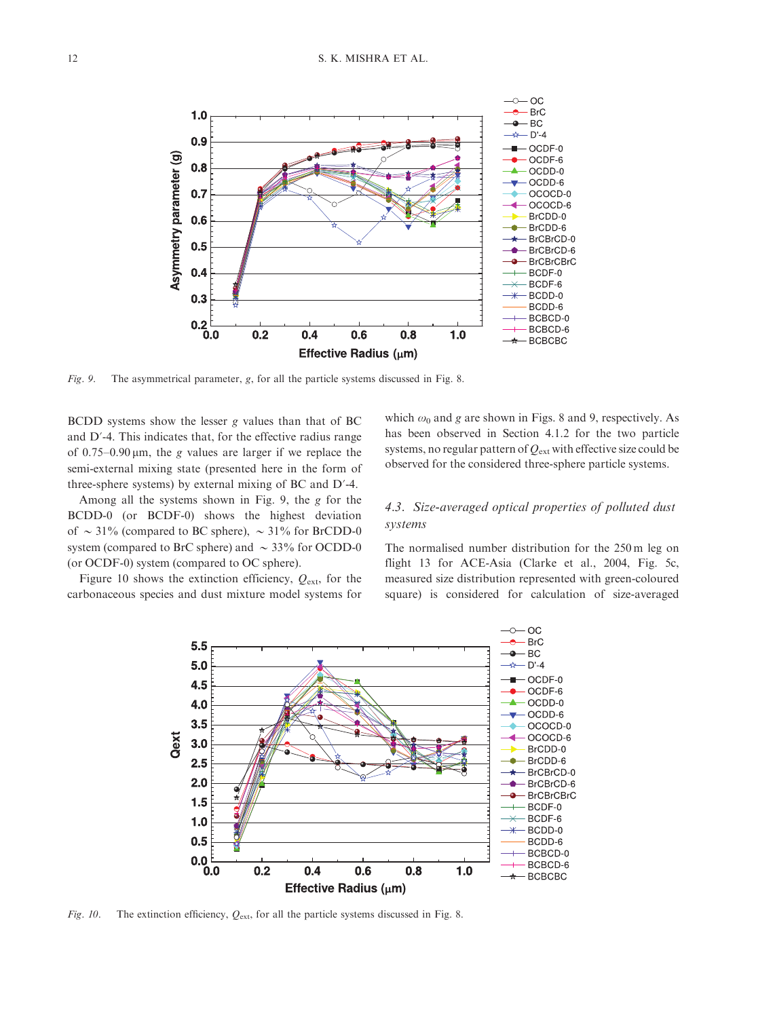

Fig. 9. The asymmetrical parameter, g, for all the particle systems discussed in Fig. 8.

BCDD systems show the lesser g values than that of BC and D'-4. This indicates that, for the effective radius range of  $0.75-0.90 \,\mu$ m, the g values are larger if we replace the semi-external mixing state (presented here in the form of three-sphere systems) by external mixing of BC and D?-4.

Among all the systems shown in Fig. 9, the g for the BCDD-0 (or BCDF-0) shows the highest deviation of  $\sim$  31% (compared to BC sphere),  $\sim$  31% for BrCDD-0 system (compared to BrC sphere) and  $\sim$  33% for OCDD-0 (or OCDF-0) system (compared to OC sphere).

Figure 10 shows the extinction efficiency,  $Q_{\text{ext}}$ , for the carbonaceous species and dust mixture model systems for which  $\omega_0$  and g are shown in Figs. 8 and 9, respectively. As has been observed in Section 4.1.2 for the two particle systems, no regular pattern of  $Q_{\text{ext}}$  with effective size could be observed for the considered three-sphere particle systems.

# 4.3. Size-averaged optical properties of polluted dust systems

The normalised number distribution for the 250 m leg on flight 13 for ACE-Asia (Clarke et al., 2004, Fig. 5c, measured size distribution represented with green-coloured square) is considered for calculation of size-averaged



Fig. 10. The extinction efficiency,  $Q_{\text{ext}}$ , for all the particle systems discussed in Fig. 8.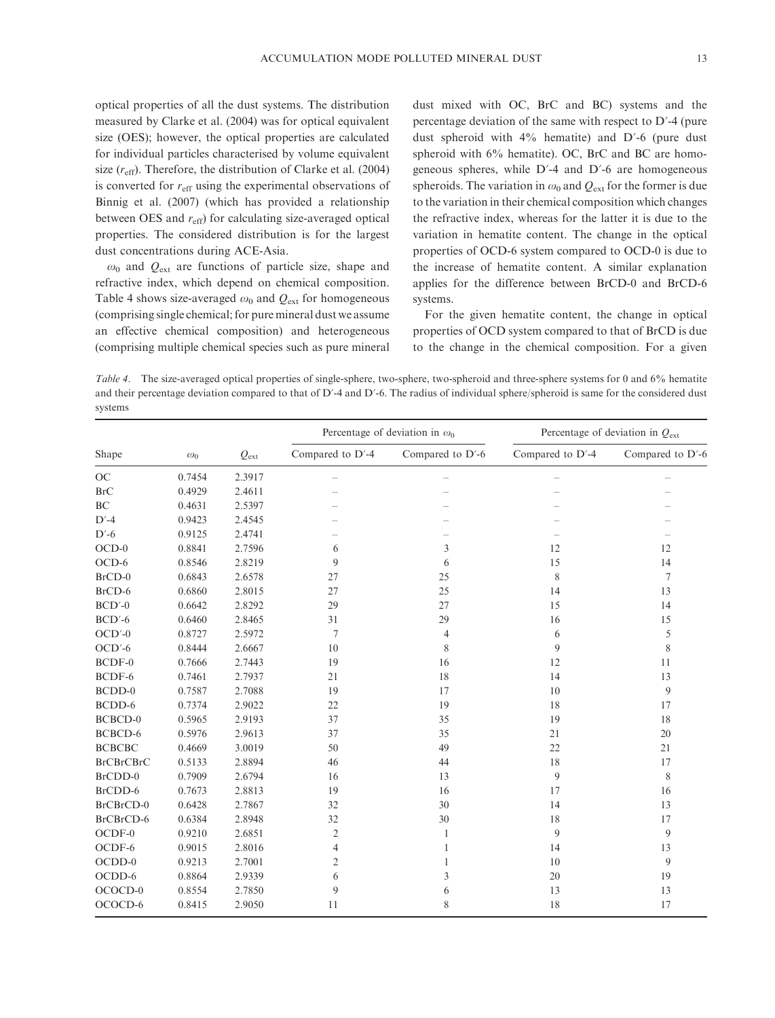optical properties of all the dust systems. The distribution measured by Clarke et al. (2004) was for optical equivalent size (OES); however, the optical properties are calculated for individual particles characterised by volume equivalent size  $(r_{\text{eff}})$ . Therefore, the distribution of Clarke et al. (2004) is converted for  $r_{\text{eff}}$  using the experimental observations of Binnig et al. (2007) (which has provided a relationship between OES and  $r_{\text{eff}}$ ) for calculating size-averaged optical properties. The considered distribution is for the largest dust concentrations during ACE-Asia.

 $\omega_0$  and  $Q_{\text{ext}}$  are functions of particle size, shape and refractive index, which depend on chemical composition. Table 4 shows size-averaged  $\omega_0$  and  $Q_{ext}$  for homogeneous (comprising single chemical; for pure mineral dust we assume an effective chemical composition) and heterogeneous (comprising multiple chemical species such as pure mineral dust mixed with OC, BrC and BC) systems and the percentage deviation of the same with respect to D?-4 (pure dust spheroid with 4% hematite) and D?-6 (pure dust spheroid with 6% hematite). OC, BrC and BC are homogeneous spheres, while D?-4 and D?-6 are homogeneous spheroids. The variation in  $\omega_0$  and  $Q_{ext}$  for the former is due to the variation in their chemical composition which changes the refractive index, whereas for the latter it is due to the variation in hematite content. The change in the optical properties of OCD-6 system compared to OCD-0 is due to the increase of hematite content. A similar explanation applies for the difference between BrCD-0 and BrCD-6 systems.

For the given hematite content, the change in optical properties of OCD system compared to that of BrCD is due to the change in the chemical composition. For a given

Table 4. The size-averaged optical properties of single-sphere, two-sphere, two-spheroid and three-sphere systems for 0 and 6% hematite and their percentage deviation compared to that of  $D'$ -4 and  $D'$ -6. The radius of individual sphere/spheroid is same for the considered dust systems

|                  |            |               | Percentage of deviation in $\omega_0$ |                  | Percentage of deviation in $Q_{\text{ext}}$ |                  |
|------------------|------------|---------------|---------------------------------------|------------------|---------------------------------------------|------------------|
| Shape            | $\omega_0$ | $Q_{\rm ext}$ | Compared to D'-4                      | Compared to D'-6 | Compared to D'-4                            | Compared to D'-6 |
| $OC$             | 0.7454     | 2.3917        | $\overline{\phantom{a}}$              |                  |                                             |                  |
| <b>BrC</b>       | 0.4929     | 2.4611        |                                       |                  |                                             |                  |
| BC               | 0.4631     | 2.5397        |                                       |                  |                                             |                  |
| $D'-4$           | 0.9423     | 2.4545        |                                       |                  |                                             |                  |
| $D'-6$           | 0.9125     | 2.4741        |                                       |                  |                                             |                  |
| $OCD-0$          | 0.8841     | 2.7596        | 6                                     | 3                | 12                                          | 12               |
| OCD-6            | 0.8546     | 2.8219        | 9                                     | 6                | 15                                          | 14               |
| $BrCD-0$         | 0.6843     | 2.6578        | 27                                    | 25               | 8                                           | $\tau$           |
| BrCD-6           | 0.6860     | 2.8015        | 27                                    | 25               | 14                                          | 13               |
| $BCD'-0$         | 0.6642     | 2.8292        | 29                                    | 27               | 15                                          | 14               |
| $BCD'-6$         | 0.6460     | 2.8465        | 31                                    | 29               | 16                                          | 15               |
| $OCD'$ -0        | 0.8727     | 2.5972        | 7                                     | 4                | 6                                           | 5                |
| $OCD'$ -6        | 0.8444     | 2.6667        | 10                                    | 8                | 9                                           | 8                |
| BCDF-0           | 0.7666     | 2.7443        | 19                                    | 16               | 12                                          | 11               |
| BCDF-6           | 0.7461     | 2.7937        | 21                                    | 18               | 14                                          | 13               |
| BCDD-0           | 0.7587     | 2.7088        | 19                                    | 17               | 10                                          | 9                |
| BCDD-6           | 0.7374     | 2.9022        | 22                                    | 19               | 18                                          | 17               |
| BCBCD-0          | 0.5965     | 2.9193        | 37                                    | 35               | 19                                          | 18               |
| BCBCD-6          | 0.5976     | 2.9613        | 37                                    | 35               | 21                                          | 20               |
| <b>BCBCBC</b>    | 0.4669     | 3.0019        | 50                                    | 49               | 22                                          | 21               |
| <b>BrCBrCBrC</b> | 0.5133     | 2.8894        | 46                                    | 44               | 18                                          | 17               |
| BrCDD-0          | 0.7909     | 2.6794        | 16                                    | 13               | 9                                           | 8                |
| BrCDD-6          | 0.7673     | 2.8813        | 19                                    | 16               | 17                                          | 16               |
| BrCBrCD-0        | 0.6428     | 2.7867        | 32                                    | 30               | 14                                          | 13               |
| BrCBrCD-6        | 0.6384     | 2.8948        | 32                                    | 30               | 18                                          | 17               |
| OCDF-0           | 0.9210     | 2.6851        | $\mathfrak{2}$                        | 1                | 9                                           | 9                |
| OCDF-6           | 0.9015     | 2.8016        | 4                                     | 1                | 14                                          | 13               |
| $OCDD-0$         | 0.9213     | 2.7001        | 2                                     |                  | $10\,$                                      | 9                |
| OCDD-6           | 0.8864     | 2.9339        | 6                                     | 3                | 20                                          | 19               |
| OCOCD-0          | 0.8554     | 2.7850        | 9                                     | 6                | 13                                          | 13               |
| OCOCD-6          | 0.8415     | 2.9050        | 11                                    | 8                | 18                                          | 17               |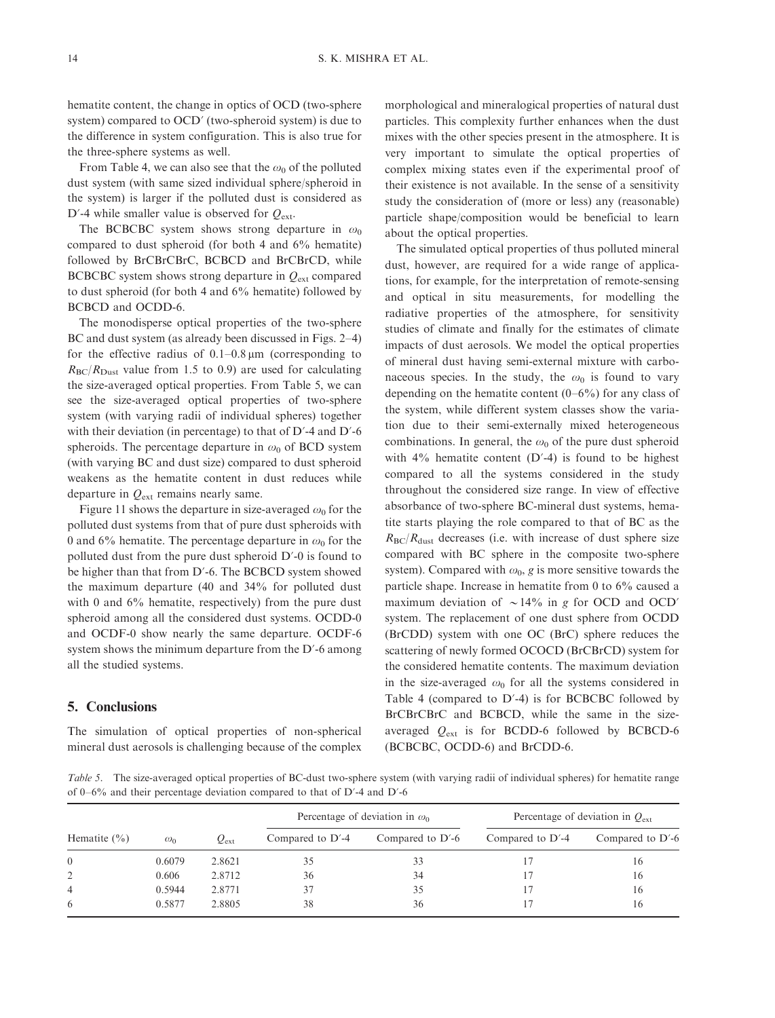hematite content, the change in optics of OCD (two-sphere system) compared to OCD' (two-spheroid system) is due to the difference in system configuration. This is also true for the three-sphere systems as well.

From Table 4, we can also see that the  $\omega_0$  of the polluted dust system (with same sized individual sphere/spheroid in the system) is larger if the polluted dust is considered as D'-4 while smaller value is observed for  $Q_{\text{ext}}$ .

The BCBCBC system shows strong departure in  $\omega_0$ compared to dust spheroid (for both 4 and 6% hematite) followed by BrCBrCBrC, BCBCD and BrCBrCD, while BCBCBC system shows strong departure in  $Q_{ext}$  compared to dust spheroid (for both 4 and 6% hematite) followed by BCBCD and OCDD-6.

The monodisperse optical properties of the two-sphere BC and dust system (as already been discussed in Figs. 2-4) for the effective radius of  $0.1-0.8 \,\mu m$  (corresponding to  $R_{\rm BC}/R_{\rm Dust}$  value from 1.5 to 0.9) are used for calculating the size-averaged optical properties. From Table 5, we can see the size-averaged optical properties of two-sphere system (with varying radii of individual spheres) together with their deviation (in percentage) to that of  $D'$ -4 and  $D'$ -6 spheroids. The percentage departure in  $\omega_0$  of BCD system (with varying BC and dust size) compared to dust spheroid weakens as the hematite content in dust reduces while departure in  $Q_{ext}$  remains nearly same.

Figure 11 shows the departure in size-averaged  $\omega_0$  for the polluted dust systems from that of pure dust spheroids with 0 and 6% hematite. The percentage departure in  $\omega_0$  for the polluted dust from the pure dust spheroid D?-0 is found to be higher than that from D'-6. The BCBCD system showed the maximum departure (40 and 34% for polluted dust with 0 and 6% hematite, respectively) from the pure dust spheroid among all the considered dust systems. OCDD-0 and OCDF-0 show nearly the same departure. OCDF-6 system shows the minimum departure from the D'-6 among all the studied systems.

# 5. Conclusions

The simulation of optical properties of non-spherical mineral dust aerosols is challenging because of the complex morphological and mineralogical properties of natural dust particles. This complexity further enhances when the dust mixes with the other species present in the atmosphere. It is very important to simulate the optical properties of complex mixing states even if the experimental proof of their existence is not available. In the sense of a sensitivity study the consideration of (more or less) any (reasonable) particle shape/composition would be beneficial to learn about the optical properties.

The simulated optical properties of thus polluted mineral dust, however, are required for a wide range of applications, for example, for the interpretation of remote-sensing and optical in situ measurements, for modelling the radiative properties of the atmosphere, for sensitivity studies of climate and finally for the estimates of climate impacts of dust aerosols. We model the optical properties of mineral dust having semi-external mixture with carbonaceous species. In the study, the  $\omega_0$  is found to vary depending on the hematite content  $(0-6\%)$  for any class of the system, while different system classes show the variation due to their semi-externally mixed heterogeneous combinations. In general, the  $\omega_0$  of the pure dust spheroid with  $4\%$  hematite content (D'-4) is found to be highest compared to all the systems considered in the study throughout the considered size range. In view of effective absorbance of two-sphere BC-mineral dust systems, hematite starts playing the role compared to that of BC as the  $R_{\rm BC}/R_{\rm dust}$  decreases (i.e. with increase of dust sphere size compared with BC sphere in the composite two-sphere system). Compared with  $\omega_0$ , g is more sensitive towards the particle shape. Increase in hematite from 0 to 6% caused a maximum deviation of  $\sim 14\%$  in g for OCD and OCD' system. The replacement of one dust sphere from OCDD (BrCDD) system with one OC (BrC) sphere reduces the scattering of newly formed OCOCD (BrCBrCD) system for the considered hematite contents. The maximum deviation in the size-averaged  $\omega_0$  for all the systems considered in Table 4 (compared to  $D'$ -4) is for BCBCBC followed by BrCBrCBrC and BCBCD, while the same in the sizeaveraged  $Q_{\text{ext}}$  is for BCDD-6 followed by BCBCD-6 (BCBCBC, OCDD-6) and BrCDD-6.

Table 5. The size-averaged optical properties of BC-dust two-sphere system (with varying radii of individual spheres) for hematite range of 0-6% and their percentage deviation compared to that of D?-4 and D?-6

| Hematite $(\% )$ | $\omega_0$ | $Q_{\rm ext}$ | Percentage of deviation in $\omega_0$ |                     | Percentage of deviation in $Q_{\text{ext}}$ |                     |
|------------------|------------|---------------|---------------------------------------|---------------------|---------------------------------------------|---------------------|
|                  |            |               | Compared to $D'$ -4                   | Compared to $D'$ -6 | Compared to $D'$ -4                         | Compared to $D'$ -6 |
| $\Omega$         | 0.6079     | 2.8621        | 35                                    | 33                  |                                             | 16                  |
| 2                | 0.606      | 2.8712        | 36                                    | 34                  |                                             | 16                  |
| $\overline{4}$   | 0.5944     | 2.8771        | 37                                    | 35                  | 17                                          | 16                  |
| 6                | 0.5877     | 2.8805        | 38                                    | 36                  |                                             | 16                  |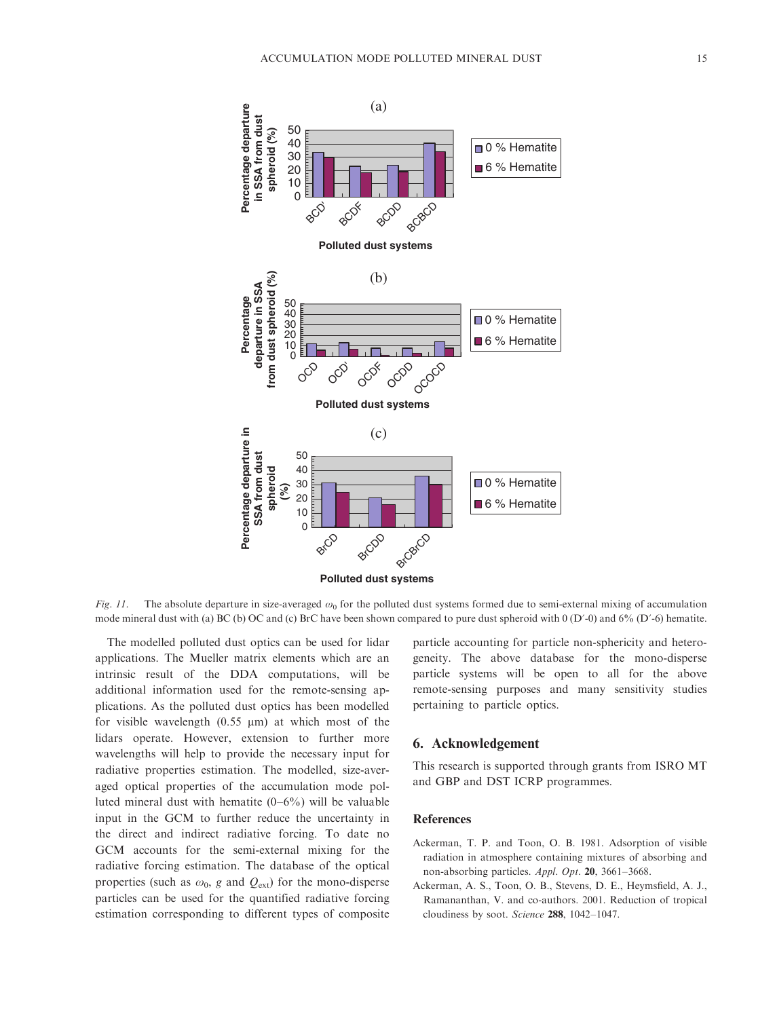

Fig. 11. The absolute departure in size-averaged  $\omega_0$  for the polluted dust systems formed due to semi-external mixing of accumulation mode mineral dust with (a) BC (b) OC and (c) BrC have been shown compared to pure dust spheroid with 0 (D'-0) and 6% (D'-6) hematite.

The modelled polluted dust optics can be used for lidar applications. The Mueller matrix elements which are an intrinsic result of the DDA computations, will be additional information used for the remote-sensing applications. As the polluted dust optics has been modelled for visible wavelength  $(0.55 \mu m)$  at which most of the lidars operate. However, extension to further more wavelengths will help to provide the necessary input for radiative properties estimation. The modelled, size-averaged optical properties of the accumulation mode polluted mineral dust with hematite (0-6%) will be valuable input in the GCM to further reduce the uncertainty in the direct and indirect radiative forcing. To date no GCM accounts for the semi-external mixing for the radiative forcing estimation. The database of the optical properties (such as  $\omega_0$ , g and  $Q_{ext}$ ) for the mono-disperse particles can be used for the quantified radiative forcing estimation corresponding to different types of composite particle accounting for particle non-sphericity and heterogeneity. The above database for the mono-disperse particle systems will be open to all for the above remote-sensing purposes and many sensitivity studies pertaining to particle optics.

# 6. Acknowledgement

This research is supported through grants from ISRO MT and GBP and DST ICRP programmes.

## References

- Ackerman, T. P. and Toon, O. B. 1981. Adsorption of visible radiation in atmosphere containing mixtures of absorbing and non-absorbing particles. Appl. Opt. 20, 3661-3668.
- Ackerman, A. S., Toon, O. B., Stevens, D. E., Heymsfield, A. J., Ramananthan, V. and co-authors. 2001. Reduction of tropical cloudiness by soot. Science 288, 1042-1047.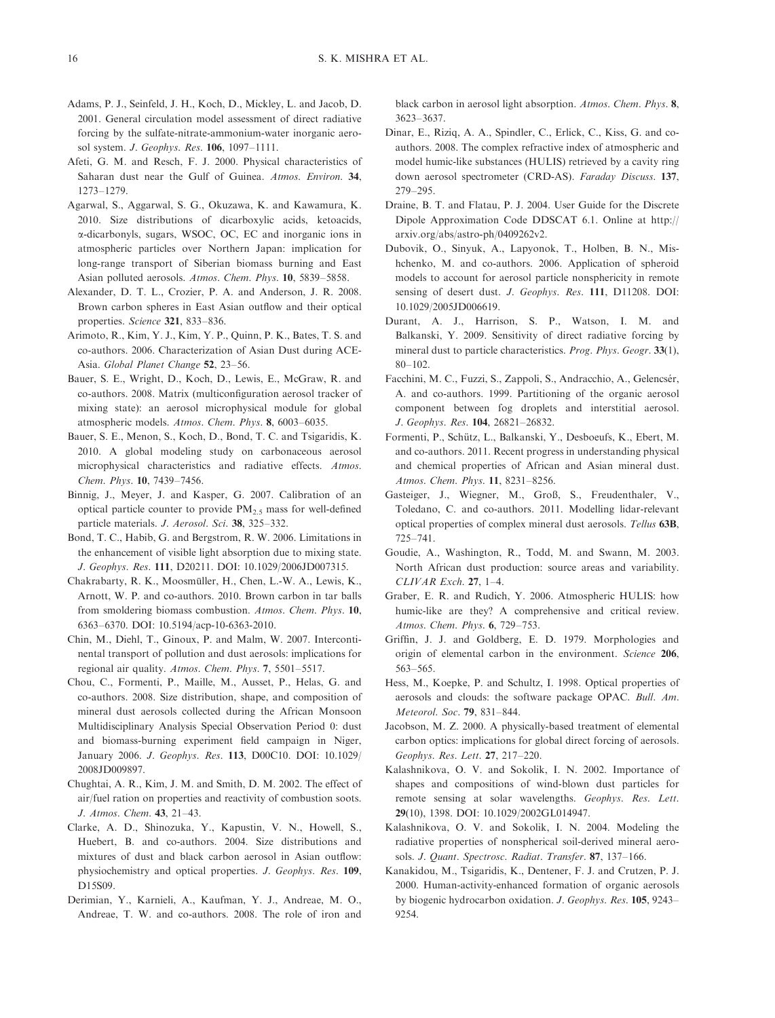- Adams, P. J., Seinfeld, J. H., Koch, D., Mickley, L. and Jacob, D. 2001. General circulation model assessment of direct radiative forcing by the sulfate-nitrate-ammonium-water inorganic aerosol system. *J. Geophys. Res.* 106, 1097-1111.
- Afeti, G. M. and Resch, F. J. 2000. Physical characteristics of Saharan dust near the Gulf of Guinea. Atmos. Environ. 34, 1273-1279.
- Agarwal, S., Aggarwal, S. G., Okuzawa, K. and Kawamura, K. 2010. Size distributions of dicarboxylic acids, ketoacids, a-dicarbonyls, sugars, WSOC, OC, EC and inorganic ions in atmospheric particles over Northern Japan: implication for long-range transport of Siberian biomass burning and East Asian polluted aerosols. Atmos. Chem. Phys. 10, 5839-5858.
- Alexander, D. T. L., Crozier, P. A. and Anderson, J. R. 2008. Brown carbon spheres in East Asian outflow and their optical properties. Science 321, 833-836.
- Arimoto, R., Kim, Y. J., Kim, Y. P., Quinn, P. K., Bates, T. S. and co-authors. 2006. Characterization of Asian Dust during ACE-Asia. Global Planet Change 52, 23-56.
- Bauer, S. E., Wright, D., Koch, D., Lewis, E., McGraw, R. and co-authors. 2008. Matrix (multiconfiguration aerosol tracker of mixing state): an aerosol microphysical module for global atmospheric models. Atmos. Chem. Phys. 8, 6003-6035.
- Bauer, S. E., Menon, S., Koch, D., Bond, T. C. and Tsigaridis, K. 2010. A global modeling study on carbonaceous aerosol microphysical characteristics and radiative effects. Atmos. Chem. Phys. 10, 7439-7456.
- Binnig, J., Meyer, J. and Kasper, G. 2007. Calibration of an optical particle counter to provide  $PM_{2.5}$  mass for well-defined particle materials. J. Aerosol. Sci. 38, 325-332.
- Bond, T. C., Habib, G. and Bergstrom, R. W. 2006. Limitations in the enhancement of visible light absorption due to mixing state. J. Geophys. Res. 111, D20211. DOI: 10.1029/2006JD007315.
- Chakrabarty, R. K., Moosmüller, H., Chen, L.-W. A., Lewis, K., Arnott, W. P. and co-authors. 2010. Brown carbon in tar balls from smoldering biomass combustion. Atmos. Chem. Phys. 10, 6363-6370. DOI: 10.5194/acp-10-6363-2010.
- Chin, M., Diehl, T., Ginoux, P. and Malm, W. 2007. Intercontinental transport of pollution and dust aerosols: implications for regional air quality. Atmos. Chem. Phys. 7, 5501-5517.
- Chou, C., Formenti, P., Maille, M., Ausset, P., Helas, G. and co-authors. 2008. Size distribution, shape, and composition of mineral dust aerosols collected during the African Monsoon Multidisciplinary Analysis Special Observation Period 0: dust and biomass-burning experiment field campaign in Niger, January 2006. J. Geophys. Res. 113, D00C10. DOI: 10.1029/ 2008JD009897.
- Chughtai, A. R., Kim, J. M. and Smith, D. M. 2002. The effect of air/fuel ration on properties and reactivity of combustion soots. J. Atmos. Chem. 43, 21-43.
- Clarke, A. D., Shinozuka, Y., Kapustin, V. N., Howell, S., Huebert, B. and co-authors. 2004. Size distributions and mixtures of dust and black carbon aerosol in Asian outflow: physiochemistry and optical properties. J. Geophys. Res. 109, D15S09.
- Derimian, Y., Karnieli, A., Kaufman, Y. J., Andreae, M. O., Andreae, T. W. and co-authors. 2008. The role of iron and

black carbon in aerosol light absorption. Atmos. Chem. Phys. 8, 3623-3637.

- Dinar, E., Riziq, A. A., Spindler, C., Erlick, C., Kiss, G. and coauthors. 2008. The complex refractive index of atmospheric and model humic-like substances (HULIS) retrieved by a cavity ring down aerosol spectrometer (CRD-AS). Faraday Discuss. 137, 279-295.
- Draine, B. T. and Flatau, P. J. 2004. User Guide for the [Discrete](http://arxiv.org/abs/astro-ph/0409262v2) [Dipole Approximation Code DD](http://arxiv.org/abs/astro-ph/0409262v2)SCAT 6.1. Online at http:// arxiv.org/abs/astro-ph/0409262v2.
- Dubovik, O., Sinyuk, A., Lapyonok, T., Holben, B. N., Mishchenko, M. and co-authors. 2006. Application of spheroid models to account for aerosol particle nonsphericity in remote sensing of desert dust. J. Geophys. Res. 111, D11208. DOI: 10.1029/2005JD006619.
- Durant, A. J., Harrison, S. P., Watson, I. M. and Balkanski, Y. 2009. Sensitivity of direct radiative forcing by mineral dust to particle characteristics. Prog. Phys. Geogr. 33(1), 80-102.
- Facchini, M. C., Fuzzi, S., Zappoli, S., Andracchio, A., Gelencsér, A. and co-authors. 1999. Partitioning of the organic aerosol component between fog droplets and interstitial aerosol. J. Geophys. Res. 104, 26821-26832.
- Formenti, P., Schütz, L., Balkanski, Y., Desboeufs, K., Ebert, M. and co-authors. 2011. Recent progress in understanding physical and chemical properties of African and Asian mineral dust. Atmos. Chem. Phys. 11, 8231-8256.
- Gasteiger, J., Wiegner, M., Groß, S., Freudenthaler, V., Toledano, C. and co-authors. 2011. Modelling lidar-relevant optical properties of complex mineral dust aerosols. Tellus 63B, 725-741.
- Goudie, A., Washington, R., Todd, M. and Swann, M. 2003. North African dust production: source areas and variability. CLIVAR Exch. 27, 1-4.
- Graber, E. R. and Rudich, Y. 2006. Atmospheric HULIS: how humic-like are they? A comprehensive and critical review. Atmos. Chem. Phys. 6, 729-753.
- Griffin, J. J. and Goldberg, E. D. 1979. Morphologies and origin of elemental carbon in the environment. Science 206, 563-565.
- Hess, M., Koepke, P. and Schultz, I. 1998. Optical properties of aerosols and clouds: the software package OPAC. Bull. Am. Meteorol. Soc. 79, 831-844.
- Jacobson, M. Z. 2000. A physically-based treatment of elemental carbon optics: implications for global direct forcing of aerosols. Geophys. Res. Lett. 27, 217-220.
- Kalashnikova, O. V. and Sokolik, I. N. 2002. Importance of shapes and compositions of wind-blown dust particles for remote sensing at solar wavelengths. Geophys. Res. Lett. 29(10), 1398. DOI: 10.1029/2002GL014947.
- Kalashnikova, O. V. and Sokolik, I. N. 2004. Modeling the radiative properties of nonspherical soil-derived mineral aerosols. J. Quant. Spectrosc. Radiat. Transfer. 87, 137-166.
- Kanakidou, M., Tsigaridis, K., Dentener, F. J. and Crutzen, P. J. 2000. Human-activity-enhanced formation of organic aerosols by biogenic hydrocarbon oxidation. J. Geophys. Res. 105, 9243-9254.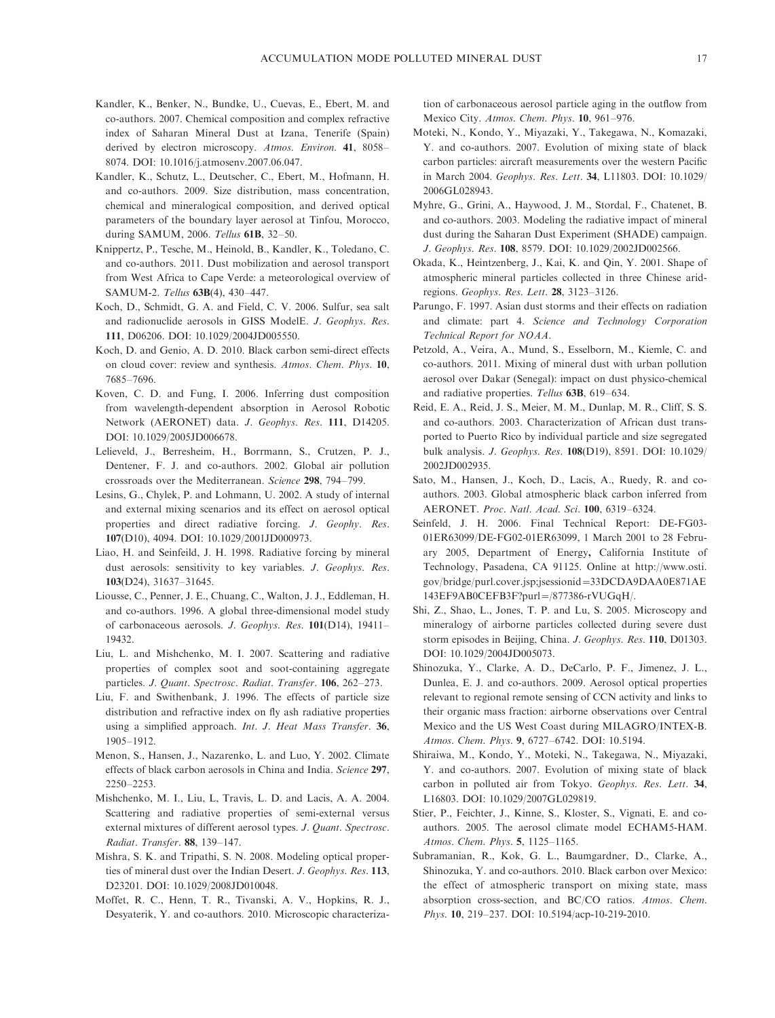- Kandler, K., Benker, N., Bundke, U., Cuevas, E., Ebert, M. and co-authors. 2007. Chemical composition and complex refractive index of Saharan Mineral Dust at Izana, Tenerife (Spain) derived by electron microscopy. Atmos. Environ. 41, 8058-8074. DOI: 10.1016/j.atmosenv.2007.06.047.
- Kandler, K., Schutz, L., Deutscher, C., Ebert, M., Hofmann, H. and co-authors. 2009. Size distribution, mass concentration, chemical and mineralogical composition, and derived optical parameters of the boundary layer aerosol at Tinfou, Morocco, during SAMUM, 2006. Tellus 61B, 32-50.
- Knippertz, P., Tesche, M., Heinold, B., Kandler, K., Toledano, C. and co-authors. 2011. Dust mobilization and aerosol transport from West Africa to Cape Verde: a meteorological overview of SAMUM-2. Tellus 63B(4), 430-447.
- Koch, D., Schmidt, G. A. and Field, C. V. 2006. Sulfur, sea salt and radionuclide aerosols in GISS ModelE. J. Geophys. Res. 111, D06206. DOI: 10.1029/2004JD005550.
- Koch, D. and Genio, A. D. 2010. Black carbon semi-direct effects on cloud cover: review and synthesis. Atmos. Chem. Phys. 10, 7685-7696.
- Koven, C. D. and Fung, I. 2006. Inferring dust composition from wavelength-dependent absorption in Aerosol Robotic Network (AERONET) data. J. Geophys. Res. 111, D14205. DOI: 10.1029/2005JD006678.
- Lelieveld, J., Berresheim, H., Borrmann, S., Crutzen, P. J., Dentener, F. J. and co-authors. 2002. Global air pollution crossroads over the Mediterranean. Science 298, 794-799.
- Lesins, G., Chylek, P. and Lohmann, U. 2002. A study of internal and external mixing scenarios and its effect on aerosol optical properties and direct radiative forcing. J. Geophy. Res. 107(D10), 4094. DOI: 10.1029/2001JD000973.
- Liao, H. and Seinfeild, J. H. 1998. Radiative forcing by mineral dust aerosols: sensitivity to key variables. J. Geophys. Res. 103(D24), 31637-31645.
- Liousse, C., Penner, J. E., Chuang, C., Walton, J. J., Eddleman, H. and co-authors. 1996. A global three-dimensional model study of carbonaceous aerosols. J. Geophys. Res. 101(D14), 19411-19432.
- Liu, L. and Mishchenko, M. I. 2007. Scattering and radiative properties of complex soot and soot-containing aggregate particles. J. Quant. Spectrosc. Radiat. Transfer. 106, 262-273.
- Liu, F. and Swithenbank, J. 1996. The effects of particle size distribution and refractive index on fly ash radiative properties using a simplified approach. Int. J. Heat Mass Transfer. 36, 1905-1912.
- Menon, S., Hansen, J., Nazarenko, L. and Luo, Y. 2002. Climate effects of black carbon aerosols in China and India. Science 297, 2250-2253.
- Mishchenko, M. I., Liu, L, Travis, L. D. and Lacis, A. A. 2004. Scattering and radiative properties of semi-external versus external mixtures of different aerosol types. J. Quant. Spectrosc. Radiat. Transfer. 88, 139-147.
- Mishra, S. K. and Tripathi, S. N. 2008. Modeling optical properties of mineral dust over the Indian Desert. J. Geophys. Res. 113, D23201. DOI: 10.1029/2008JD010048.
- Moffet, R. C., Henn, T. R., Tivanski, A. V., Hopkins, R. J., Desyaterik, Y. and co-authors. 2010. Microscopic characteriza-

tion of carbonaceous aerosol particle aging in the outflow from Mexico City. Atmos. Chem. Phys. 10, 961-976.

- Moteki, N., Kondo, Y., Miyazaki, Y., Takegawa, N., Komazaki, Y. and co-authors. 2007. Evolution of mixing state of black carbon particles: aircraft measurements over the western Pacific in March 2004. Geophys. Res. Lett. 34, L11803. DOI: 10.1029/ 2006GL028943.
- Myhre, G., Grini, A., Haywood, J. M., Stordal, F., Chatenet, B. and co-authors. 2003. Modeling the radiative impact of mineral dust during the Saharan Dust Experiment (SHADE) campaign. J. Geophys. Res. 108, 8579. DOI: 10.1029/2002JD002566.
- Okada, K., Heintzenberg, J., Kai, K. and Qin, Y. 2001. Shape of atmospheric mineral particles collected in three Chinese aridregions. Geophys. Res. Lett. 28, 3123-3126.
- Parungo, F. 1997. Asian dust storms and their effects on radiation and climate: part 4. Science and Technology Corporation Technical Report for NOAA.
- Petzold, A., Veira, A., Mund, S., Esselborn, M., Kiemle, C. and co-authors. 2011. Mixing of mineral dust with urban pollution aerosol over Dakar (Senegal): impact on dust physico-chemical and radiative properties. Tellus 63B, 619-634.
- Reid, E. A., Reid, J. S., Meier, M. M., Dunlap, M. R., Cliff, S. S. and co-authors. 2003. Characterization of African dust transported to Puerto Rico by individual particle and size segregated bulk analysis. J. Geophys. Res. 108(D19), 8591. DOI: 10.1029/ 2002JD002935.
- Sato, M., Hansen, J., Koch, D., Lacis, A., Ruedy, R. and coauthors. 2003. Global atmospheric black carbon inferred from AERONET. Proc. Natl. Acad. Sci. 100, 6319-6324.
- Seinfeld, J. H. 2006. Final Technical Report: DE-FG03- 01ER63099/DE-FG02-01ER63099, 1 March 2001 to 28 February 2005, Department of Energy, Califor[nia Institute of](http://www.osti.gov/bridge/purl.cover.jsp;jsessionid=33DCDA9DAA0E871AE143EF9AB0CEFB3F?purl=/877386-rVUGqH/) [Technology, Pasadena, CA 91125.](http://www.osti.gov/bridge/purl.cover.jsp;jsessionid=33DCDA9DAA0E871AE143EF9AB0CEFB3F?purl=/877386-rVUGqH/) [Online at http://www.osti.](http://www.osti.gov/bridge/purl.cover.jsp;jsessionid=33DCDA9DAA0E871AE143EF9AB0CEFB3F?purl=/877386-rVUGqH/) [gov/bridge/purl.cover.jsp;](http://www.osti.gov/bridge/purl.cover.jsp;jsessionid=33DCDA9DAA0E871AE143EF9AB0CEFB3F?purl=/877386-rVUGqH/)js[es](http://www.osti.gov/bridge/purl.cover.jsp;jsessionid=33DCDA9DAA0E871AE143EF9AB0CEFB3F?purl=/877386-rVUGqH/)sionid=[33DCDA9](http://www.osti.gov/bridge/purl.cover.jsp;jsessionid=33DCDA9DAA0E871AE143EF9AB0CEFB3F?purl=/877386-rVUGqH/)DAA0E871AE 143EF9AB0CEFB3F?purl=/877386-rVUGqH/.
- Shi, Z., Shao, L., Jones, T. P. and Lu, S. 2005. Microscopy and mineralogy of airborne particles collected during severe dust storm episodes in Beijing, China. J. Geophys. Res. 110, D01303. DOI: 10.1029/2004JD005073.
- Shinozuka, Y., Clarke, A. D., DeCarlo, P. F., Jimenez, J. L., Dunlea, E. J. and co-authors. 2009. Aerosol optical properties relevant to regional remote sensing of CCN activity and links to their organic mass fraction: airborne observations over Central Mexico and the US West Coast during MILAGRO/INTEX-B. Atmos. Chem. Phys. 9, 6727-6742. DOI: 10.5194.
- Shiraiwa, M., Kondo, Y., Moteki, N., Takegawa, N., Miyazaki, Y. and co-authors. 2007. Evolution of mixing state of black carbon in polluted air from Tokyo. Geophys. Res. Lett. 34, L16803. DOI: 10.1029/2007GL029819.
- Stier, P., Feichter, J., Kinne, S., Kloster, S., Vignati, E. and coauthors. 2005. The aerosol climate model ECHAM5-HAM. Atmos. Chem. Phys. 5, 1125-1165.
- Subramanian, R., Kok, G. L., Baumgardner, D., Clarke, A., Shinozuka, Y. and co-authors. 2010. Black carbon over Mexico: the effect of atmospheric transport on mixing state, mass absorption cross-section, and BC/CO ratios. Atmos. Chem. Phys. 10, 219-237. DOI: 10.5194/acp-10-219-2010.